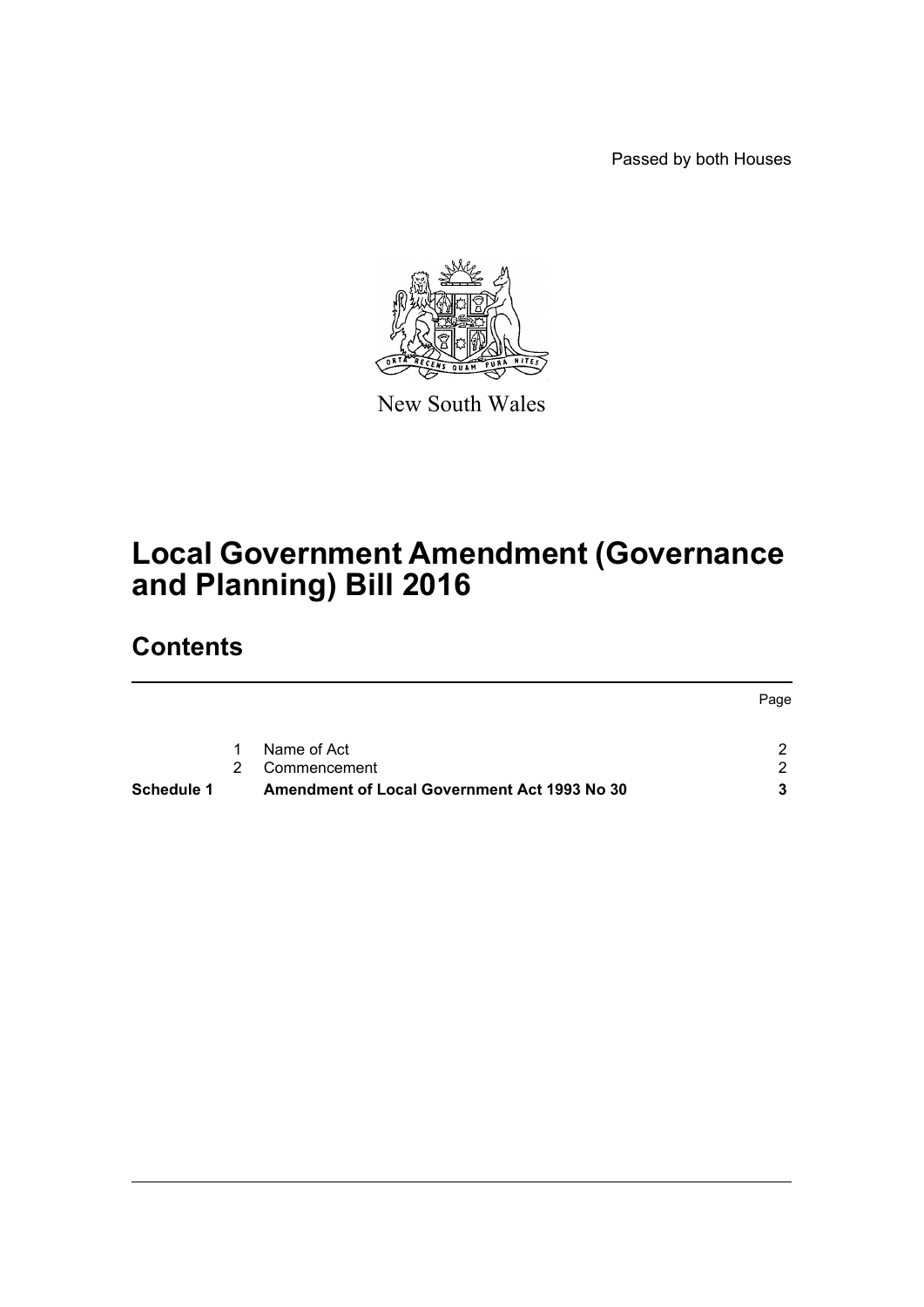Passed by both Houses



New South Wales

# **Local Government Amendment (Governance and Planning) Bill 2016**

# **Contents**

|            |   |                                                     | Page          |
|------------|---|-----------------------------------------------------|---------------|
|            |   |                                                     |               |
|            | 1 | Name of Act                                         | າ             |
|            | 2 | Commencement                                        | $\mathcal{D}$ |
| Schedule 1 |   | <b>Amendment of Local Government Act 1993 No 30</b> |               |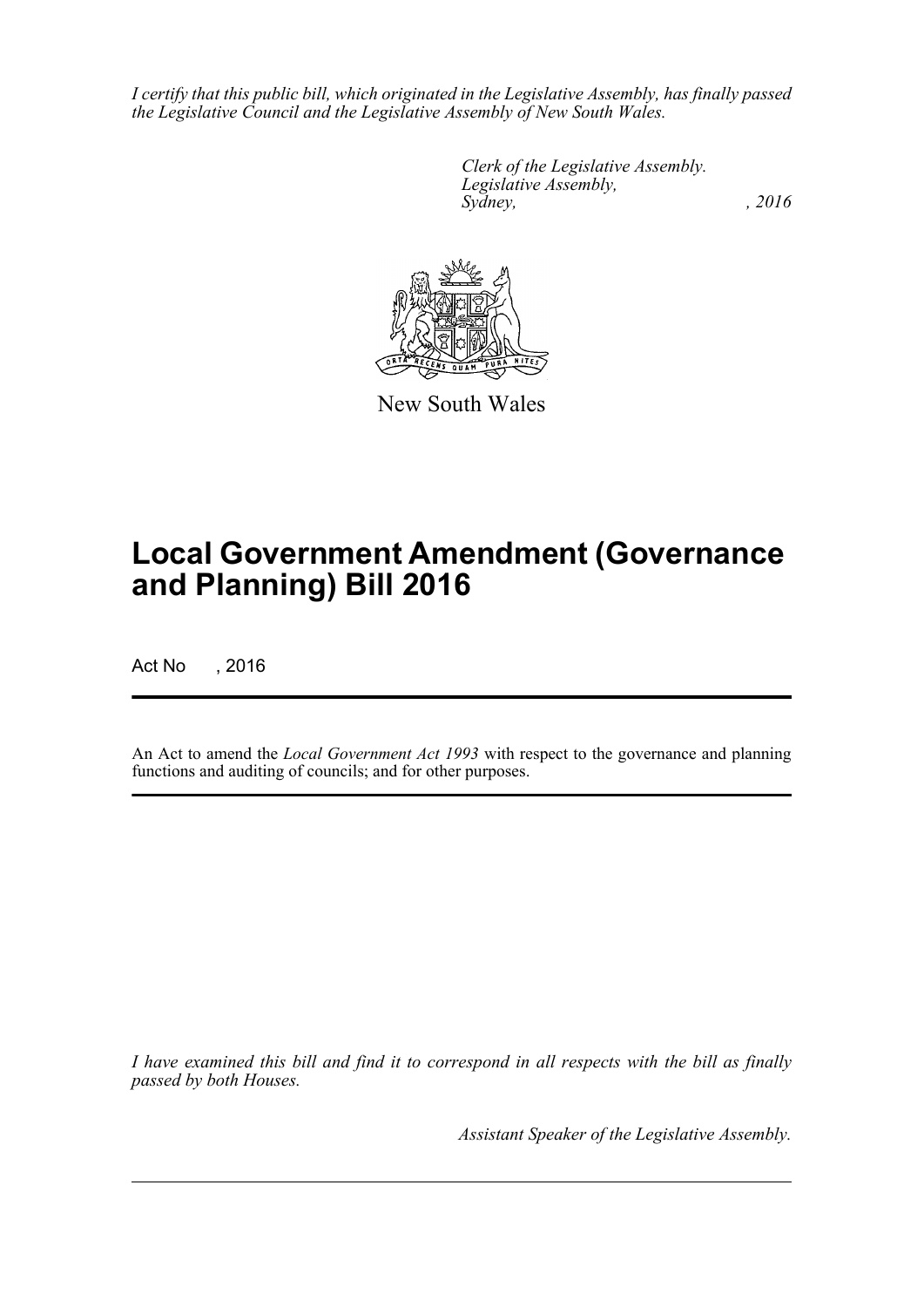*I certify that this public bill, which originated in the Legislative Assembly, has finally passed the Legislative Council and the Legislative Assembly of New South Wales.*

> *Clerk of the Legislative Assembly. Legislative Assembly, Sydney,* , 2016



New South Wales

# **Local Government Amendment (Governance and Planning) Bill 2016**

Act No , 2016

An Act to amend the *Local Government Act 1993* with respect to the governance and planning functions and auditing of councils; and for other purposes.

*I have examined this bill and find it to correspond in all respects with the bill as finally passed by both Houses.*

*Assistant Speaker of the Legislative Assembly.*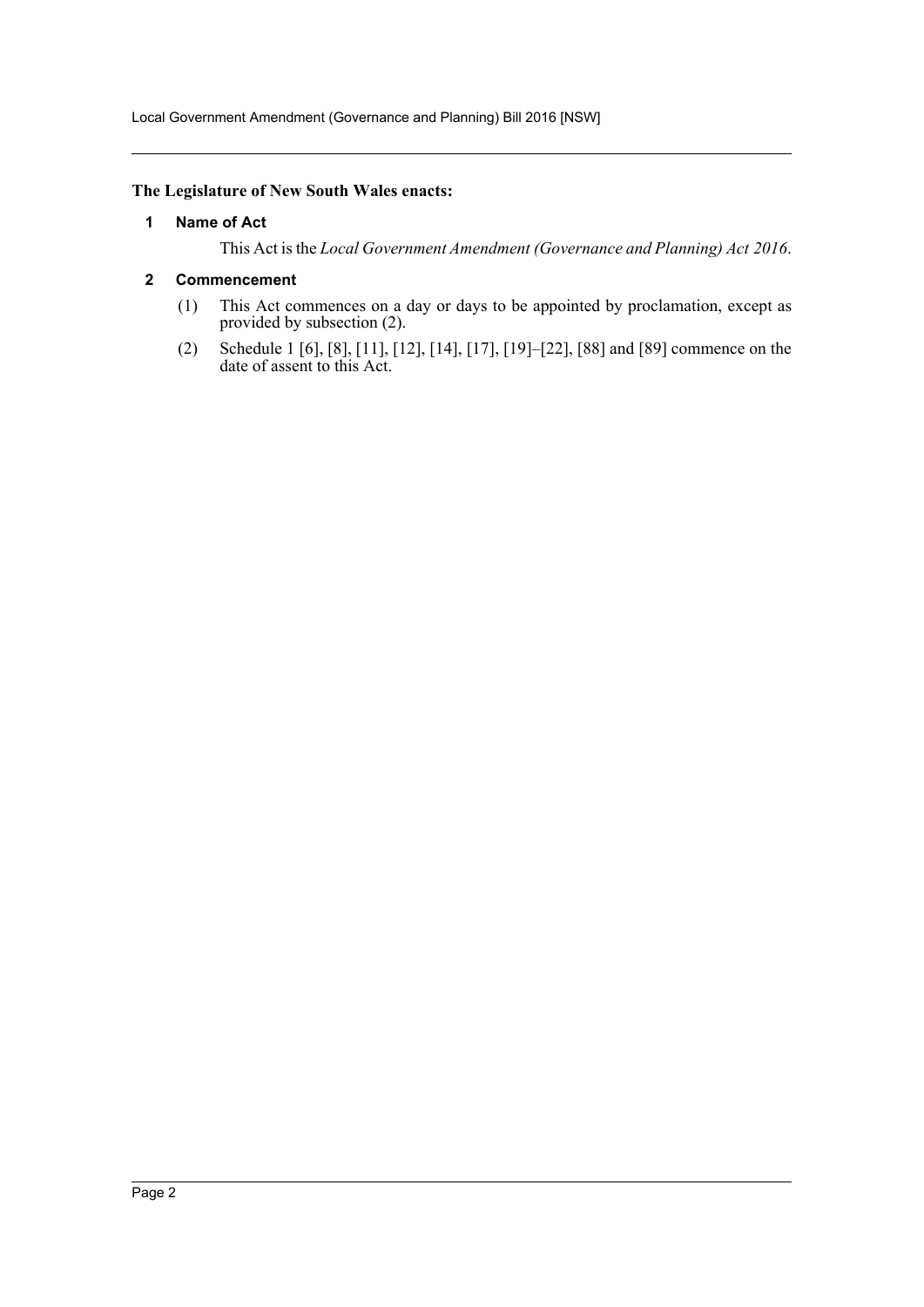Local Government Amendment (Governance and Planning) Bill 2016 [NSW]

## <span id="page-2-0"></span>**The Legislature of New South Wales enacts:**

## **1 Name of Act**

This Act is the *Local Government Amendment (Governance and Planning) Act 2016*.

## <span id="page-2-1"></span>**2 Commencement**

- (1) This Act commences on a day or days to be appointed by proclamation, except as provided by subsection (2).
- (2) Schedule 1 [6], [8], [11], [12], [14], [17], [19]–[22], [88] and [89] commence on the date of assent to this Act.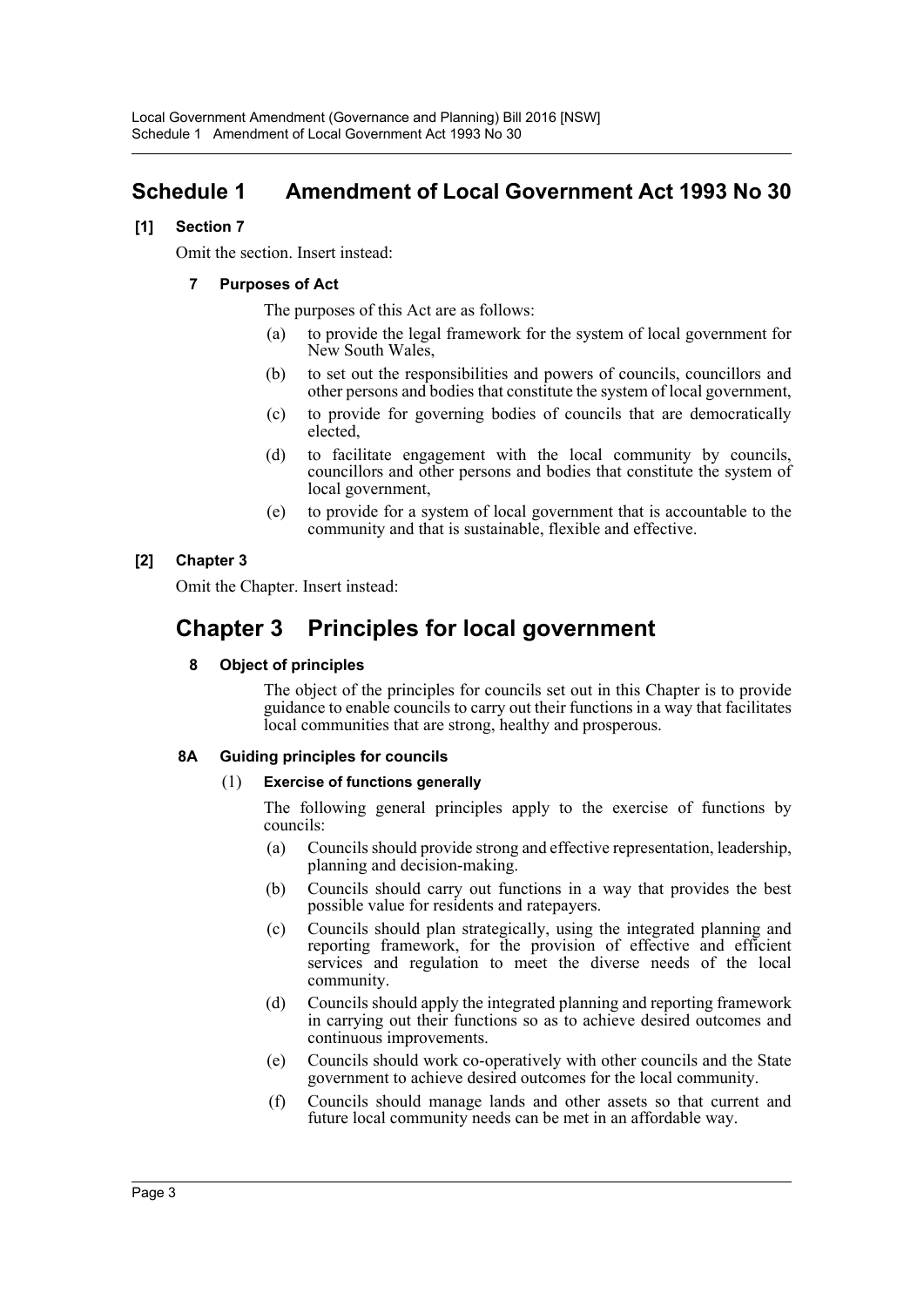## <span id="page-3-0"></span>**Schedule 1 Amendment of Local Government Act 1993 No 30**

## **[1] Section 7**

Omit the section. Insert instead:

## **7 Purposes of Act**

The purposes of this Act are as follows:

- (a) to provide the legal framework for the system of local government for New South Wales,
- (b) to set out the responsibilities and powers of councils, councillors and other persons and bodies that constitute the system of local government,
- (c) to provide for governing bodies of councils that are democratically elected,
- (d) to facilitate engagement with the local community by councils, councillors and other persons and bodies that constitute the system of local government,
- (e) to provide for a system of local government that is accountable to the community and that is sustainable, flexible and effective.

## **[2] Chapter 3**

Omit the Chapter. Insert instead:

## **Chapter 3 Principles for local government**

## **8 Object of principles**

The object of the principles for councils set out in this Chapter is to provide guidance to enable councils to carry out their functions in a way that facilitates local communities that are strong, healthy and prosperous.

## **8A Guiding principles for councils**

## (1) **Exercise of functions generally**

The following general principles apply to the exercise of functions by councils:

- (a) Councils should provide strong and effective representation, leadership, planning and decision-making.
- (b) Councils should carry out functions in a way that provides the best possible value for residents and ratepayers.
- (c) Councils should plan strategically, using the integrated planning and reporting framework, for the provision of effective and efficient services and regulation to meet the diverse needs of the local community.
- (d) Councils should apply the integrated planning and reporting framework in carrying out their functions so as to achieve desired outcomes and continuous improvements.
- (e) Councils should work co-operatively with other councils and the State government to achieve desired outcomes for the local community.
- (f) Councils should manage lands and other assets so that current and future local community needs can be met in an affordable way.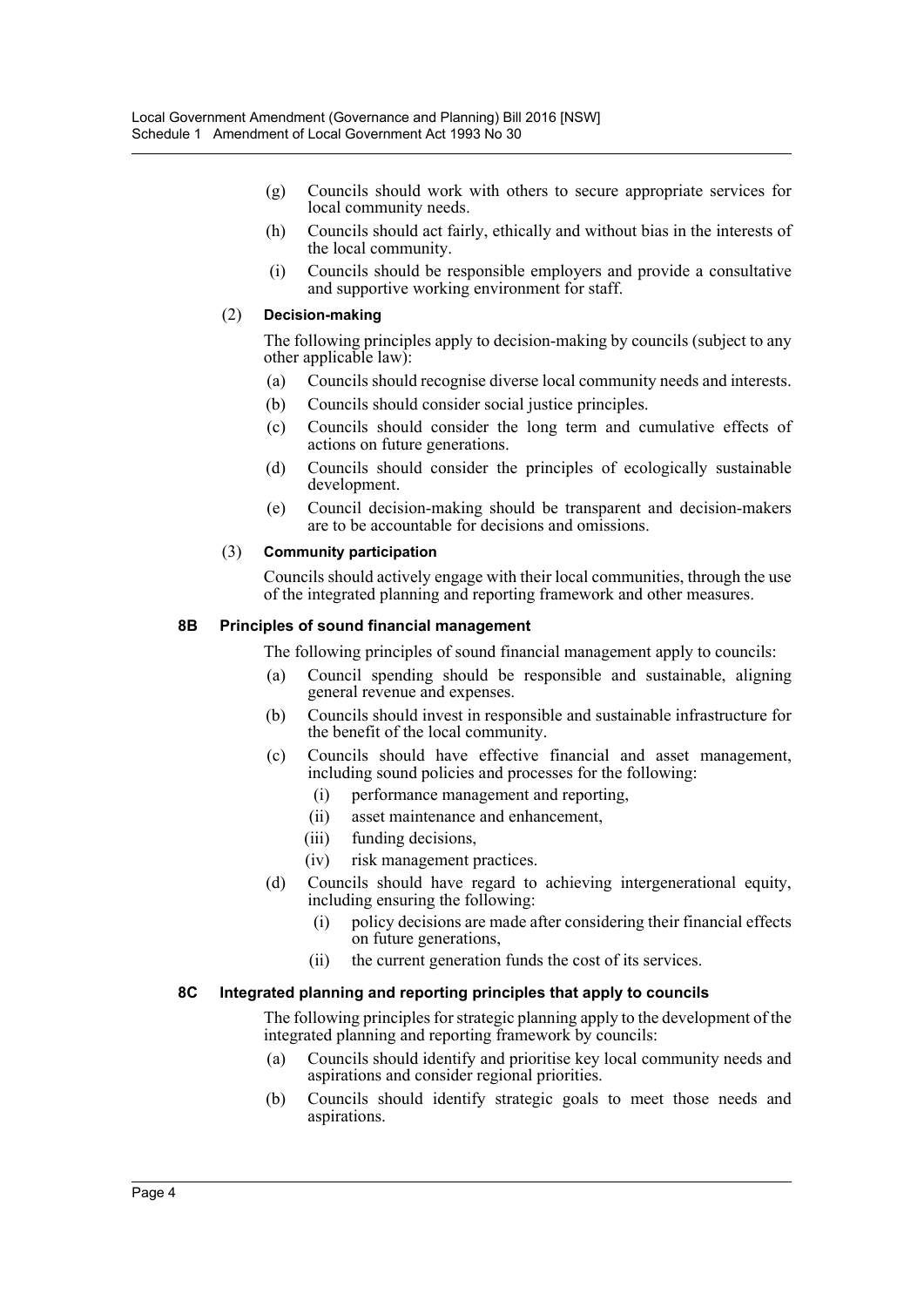- (g) Councils should work with others to secure appropriate services for local community needs.
- (h) Councils should act fairly, ethically and without bias in the interests of the local community.
- (i) Councils should be responsible employers and provide a consultative and supportive working environment for staff.

## (2) **Decision-making**

The following principles apply to decision-making by councils (subject to any other applicable law):

- (a) Councils should recognise diverse local community needs and interests.
- (b) Councils should consider social justice principles.
- (c) Councils should consider the long term and cumulative effects of actions on future generations.
- (d) Councils should consider the principles of ecologically sustainable development.
- (e) Council decision-making should be transparent and decision-makers are to be accountable for decisions and omissions.

## (3) **Community participation**

Councils should actively engage with their local communities, through the use of the integrated planning and reporting framework and other measures.

## **8B Principles of sound financial management**

The following principles of sound financial management apply to councils:

- (a) Council spending should be responsible and sustainable, aligning general revenue and expenses.
- (b) Councils should invest in responsible and sustainable infrastructure for the benefit of the local community.
- (c) Councils should have effective financial and asset management, including sound policies and processes for the following:
	- (i) performance management and reporting,
	- (ii) asset maintenance and enhancement,
	- (iii) funding decisions,
	- (iv) risk management practices.
- (d) Councils should have regard to achieving intergenerational equity, including ensuring the following:
	- (i) policy decisions are made after considering their financial effects on future generations,
	- (ii) the current generation funds the cost of its services.

## **8C Integrated planning and reporting principles that apply to councils**

The following principles for strategic planning apply to the development of the integrated planning and reporting framework by councils:

- (a) Councils should identify and prioritise key local community needs and aspirations and consider regional priorities.
- (b) Councils should identify strategic goals to meet those needs and aspirations.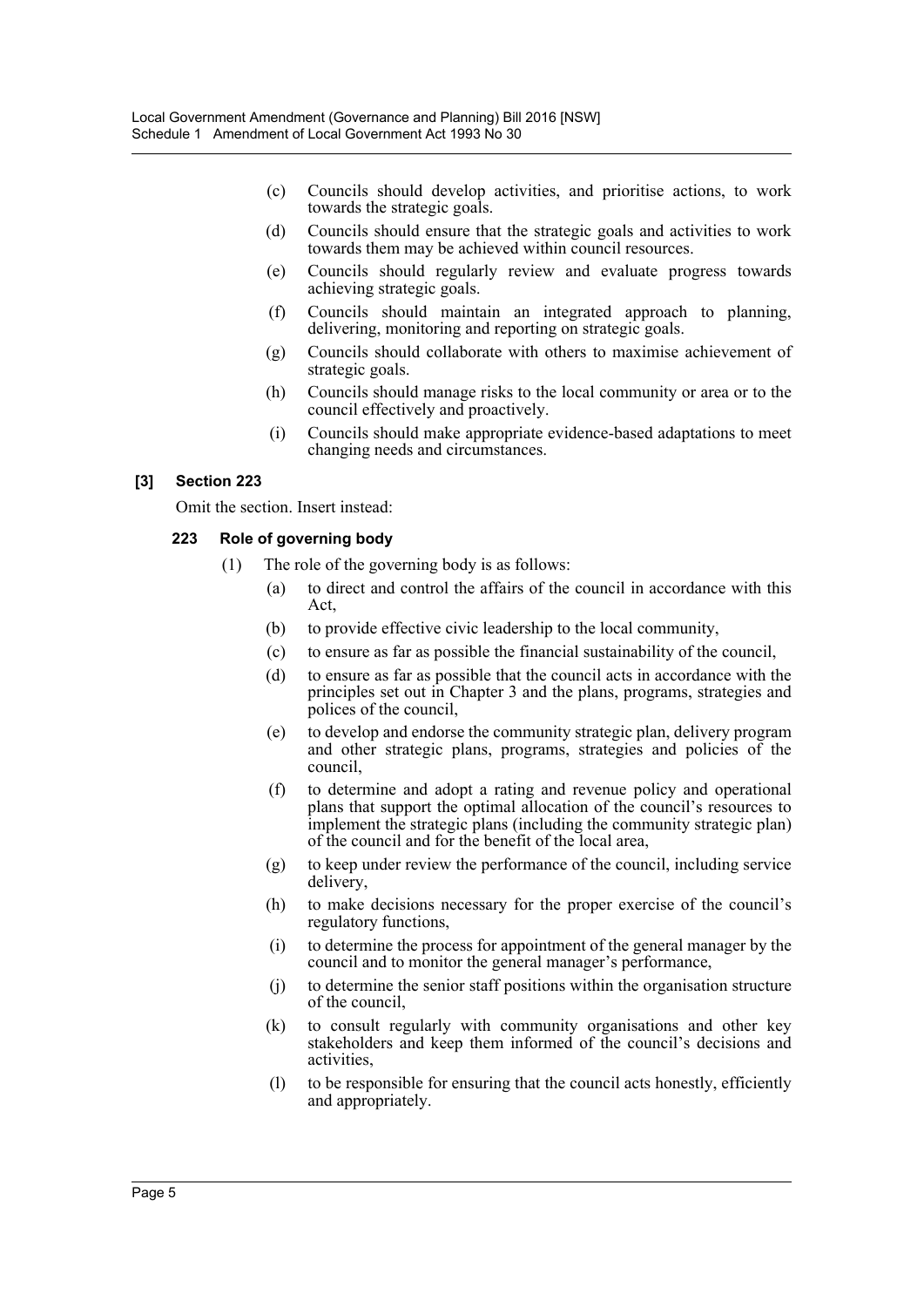- (c) Councils should develop activities, and prioritise actions, to work towards the strategic goals.
- (d) Councils should ensure that the strategic goals and activities to work towards them may be achieved within council resources.
- (e) Councils should regularly review and evaluate progress towards achieving strategic goals.
- (f) Councils should maintain an integrated approach to planning, delivering, monitoring and reporting on strategic goals.
- (g) Councils should collaborate with others to maximise achievement of strategic goals.
- (h) Councils should manage risks to the local community or area or to the council effectively and proactively.
- (i) Councils should make appropriate evidence-based adaptations to meet changing needs and circumstances.

## **[3] Section 223**

Omit the section. Insert instead:

## **223 Role of governing body**

- (1) The role of the governing body is as follows:
	- (a) to direct and control the affairs of the council in accordance with this Act,
	- (b) to provide effective civic leadership to the local community,
	- (c) to ensure as far as possible the financial sustainability of the council,
	- (d) to ensure as far as possible that the council acts in accordance with the principles set out in Chapter 3 and the plans, programs, strategies and polices of the council,
	- (e) to develop and endorse the community strategic plan, delivery program and other strategic plans, programs, strategies and policies of the council,
	- (f) to determine and adopt a rating and revenue policy and operational plans that support the optimal allocation of the council's resources to implement the strategic plans (including the community strategic plan) of the council and for the benefit of the local area,
	- (g) to keep under review the performance of the council, including service delivery,
	- (h) to make decisions necessary for the proper exercise of the council's regulatory functions,
	- (i) to determine the process for appointment of the general manager by the council and to monitor the general manager's performance,
	- (j) to determine the senior staff positions within the organisation structure of the council,
	- (k) to consult regularly with community organisations and other key stakeholders and keep them informed of the council's decisions and activities,
	- (l) to be responsible for ensuring that the council acts honestly, efficiently and appropriately.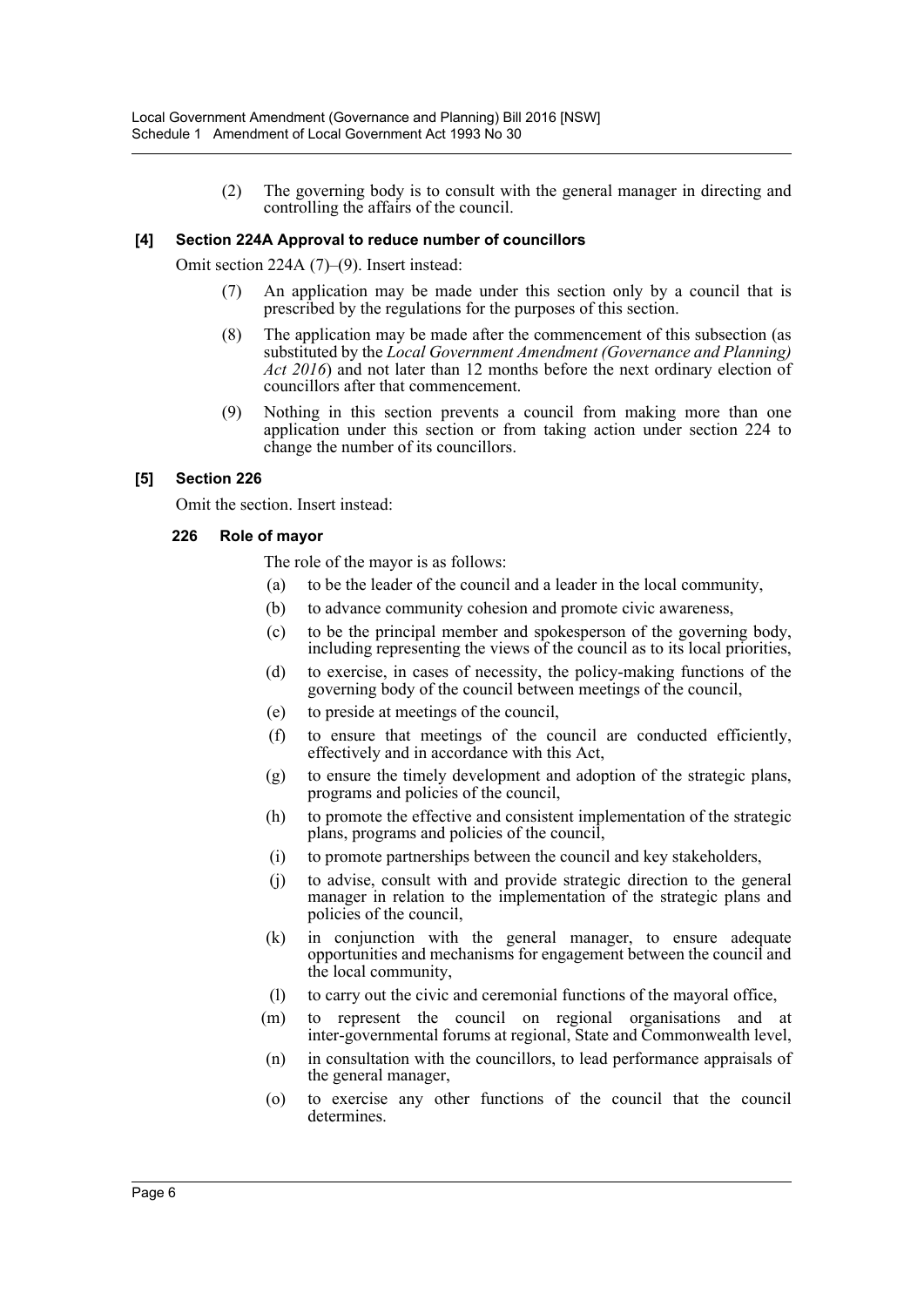(2) The governing body is to consult with the general manager in directing and controlling the affairs of the council.

## **[4] Section 224A Approval to reduce number of councillors**

Omit section 224A (7)–(9). Insert instead:

- (7) An application may be made under this section only by a council that is prescribed by the regulations for the purposes of this section.
- (8) The application may be made after the commencement of this subsection (as substituted by the *Local Government Amendment (Governance and Planning) Act 2016*) and not later than 12 months before the next ordinary election of councillors after that commencement.
- (9) Nothing in this section prevents a council from making more than one application under this section or from taking action under section 224 to change the number of its councillors.

## **[5] Section 226**

Omit the section. Insert instead:

## **226 Role of mayor**

The role of the mayor is as follows:

- (a) to be the leader of the council and a leader in the local community,
- (b) to advance community cohesion and promote civic awareness,
- (c) to be the principal member and spokesperson of the governing body, including representing the views of the council as to its local priorities,
- (d) to exercise, in cases of necessity, the policy-making functions of the governing body of the council between meetings of the council,
- (e) to preside at meetings of the council,
- (f) to ensure that meetings of the council are conducted efficiently, effectively and in accordance with this Act,
- (g) to ensure the timely development and adoption of the strategic plans, programs and policies of the council,
- (h) to promote the effective and consistent implementation of the strategic plans, programs and policies of the council,
- (i) to promote partnerships between the council and key stakeholders,
- (j) to advise, consult with and provide strategic direction to the general manager in relation to the implementation of the strategic plans and policies of the council,
- (k) in conjunction with the general manager, to ensure adequate opportunities and mechanisms for engagement between the council and the local community,
- (l) to carry out the civic and ceremonial functions of the mayoral office,
- (m) to represent the council on regional organisations and at inter-governmental forums at regional, State and Commonwealth level,
- (n) in consultation with the councillors, to lead performance appraisals of the general manager,
- (o) to exercise any other functions of the council that the council determines.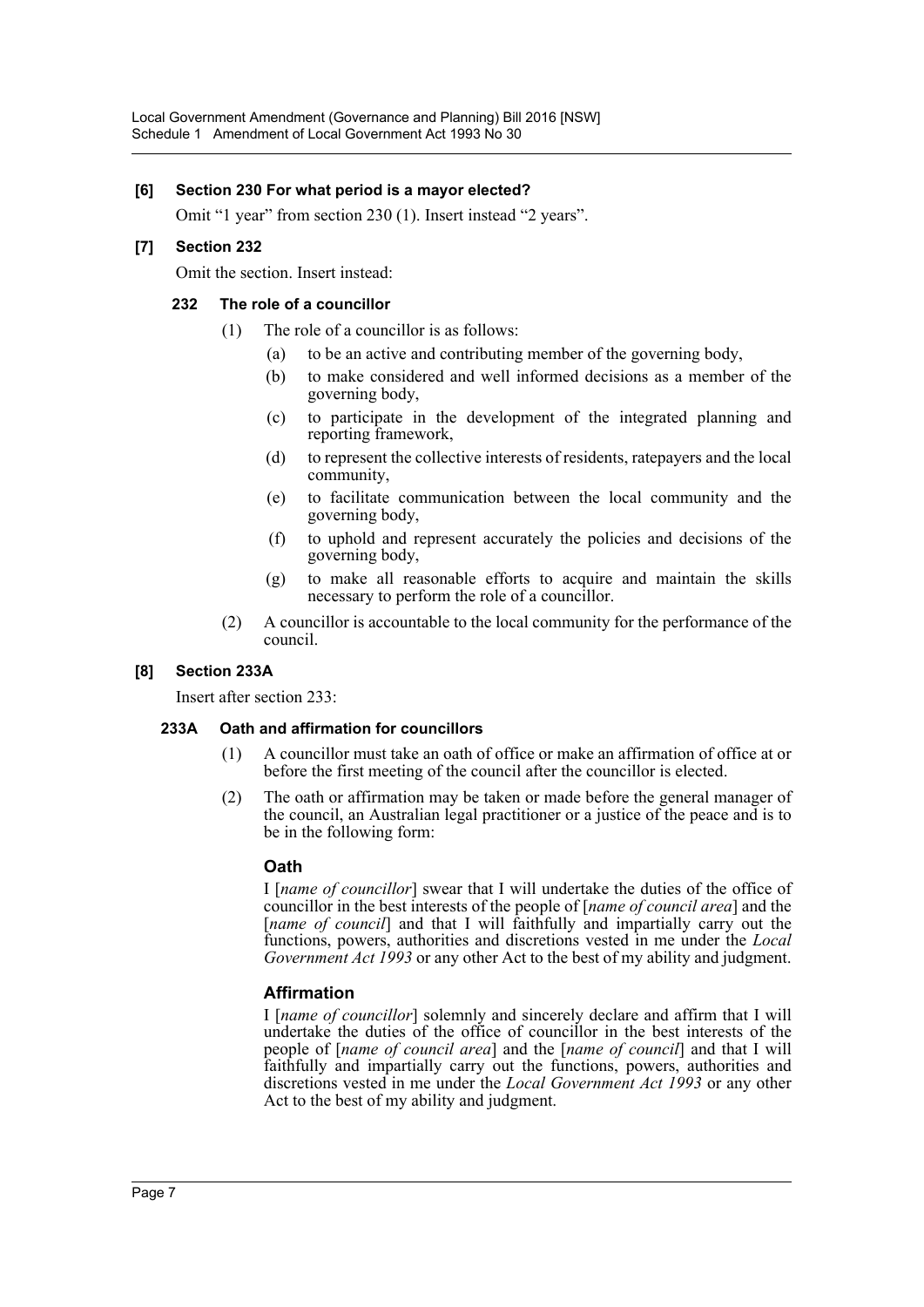## **[6] Section 230 For what period is a mayor elected?**

Omit "1 year" from section 230 (1). Insert instead "2 years".

## **[7] Section 232**

Omit the section. Insert instead:

## **232 The role of a councillor**

- (1) The role of a councillor is as follows:
	- (a) to be an active and contributing member of the governing body,
	- (b) to make considered and well informed decisions as a member of the governing body,
	- (c) to participate in the development of the integrated planning and reporting framework,
	- (d) to represent the collective interests of residents, ratepayers and the local community,
	- (e) to facilitate communication between the local community and the governing body,
	- (f) to uphold and represent accurately the policies and decisions of the governing body,
	- (g) to make all reasonable efforts to acquire and maintain the skills necessary to perform the role of a councillor.
- (2) A councillor is accountable to the local community for the performance of the council.

## **[8] Section 233A**

Insert after section 233:

## **233A Oath and affirmation for councillors**

- (1) A councillor must take an oath of office or make an affirmation of office at or before the first meeting of the council after the councillor is elected.
- (2) The oath or affirmation may be taken or made before the general manager of the council, an Australian legal practitioner or a justice of the peace and is to be in the following form:

## **Oath**

I [*name of councillor*] swear that I will undertake the duties of the office of councillor in the best interests of the people of [*name of council area*] and the [*name of council*] and that I will faithfully and impartially carry out the functions, powers, authorities and discretions vested in me under the *Local Government Act 1993* or any other Act to the best of my ability and judgment.

## **Affirmation**

I [*name of councillor*] solemnly and sincerely declare and affirm that I will undertake the duties of the office of councillor in the best interests of the people of [*name of council area*] and the [*name of council*] and that I will faithfully and impartially carry out the functions, powers, authorities and discretions vested in me under the *Local Government Act 1993* or any other Act to the best of my ability and judgment.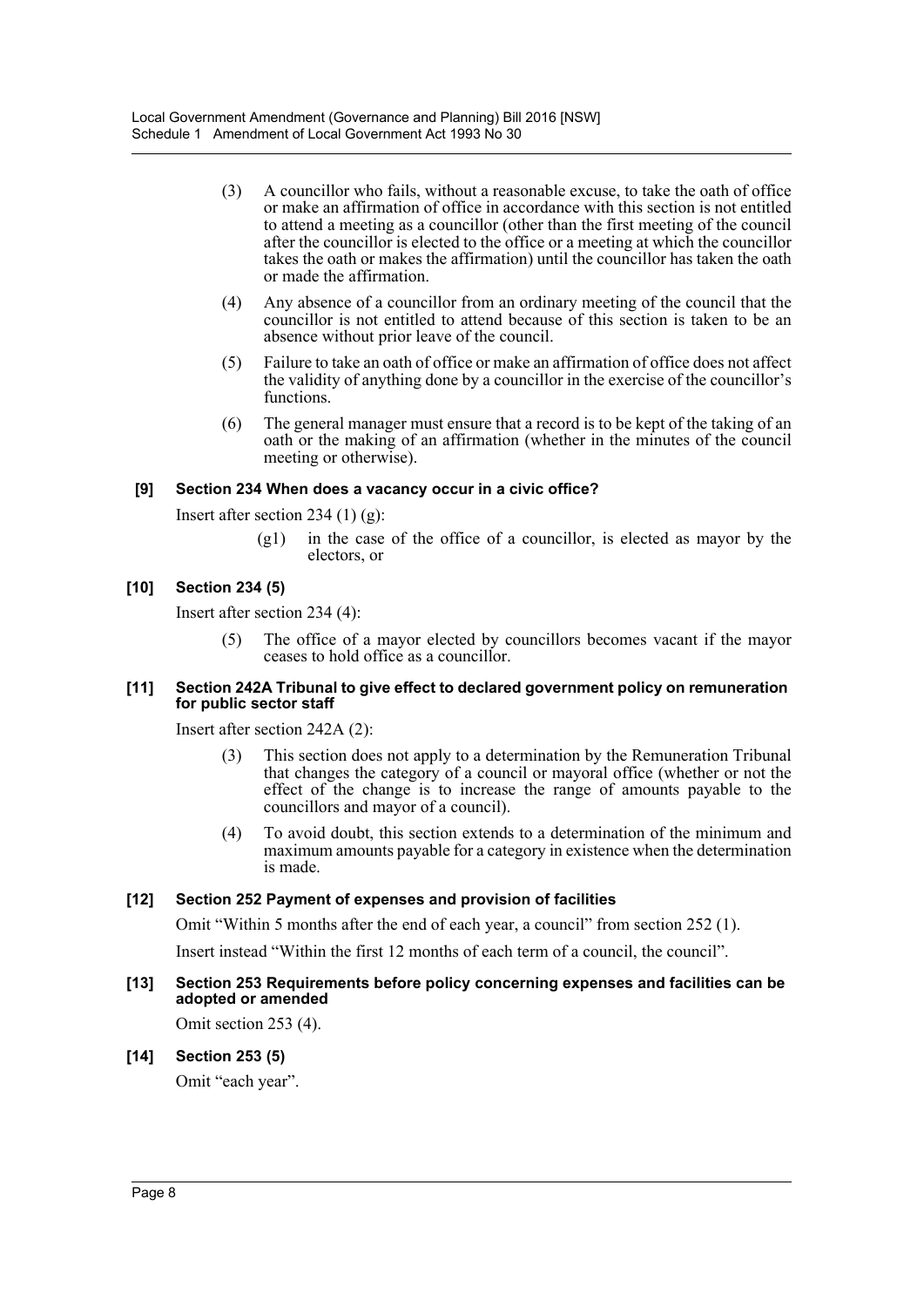- (3) A councillor who fails, without a reasonable excuse, to take the oath of office or make an affirmation of office in accordance with this section is not entitled to attend a meeting as a councillor (other than the first meeting of the council after the councillor is elected to the office or a meeting at which the councillor takes the oath or makes the affirmation) until the councillor has taken the oath or made the affirmation.
- (4) Any absence of a councillor from an ordinary meeting of the council that the councillor is not entitled to attend because of this section is taken to be an absence without prior leave of the council.
- (5) Failure to take an oath of office or make an affirmation of office does not affect the validity of anything done by a councillor in the exercise of the councillor's functions.
- (6) The general manager must ensure that a record is to be kept of the taking of an oath or the making of an affirmation (whether in the minutes of the council meeting or otherwise).

## **[9] Section 234 When does a vacancy occur in a civic office?**

Insert after section 234  $(1)$   $(g)$ :

(g1) in the case of the office of a councillor, is elected as mayor by the electors, or

## **[10] Section 234 (5)**

Insert after section 234 (4):

(5) The office of a mayor elected by councillors becomes vacant if the mayor ceases to hold office as a councillor.

## **[11] Section 242A Tribunal to give effect to declared government policy on remuneration for public sector staff**

Insert after section 242A (2):

- (3) This section does not apply to a determination by the Remuneration Tribunal that changes the category of a council or mayoral office (whether or not the effect of the change is to increase the range of amounts payable to the councillors and mayor of a council).
- (4) To avoid doubt, this section extends to a determination of the minimum and maximum amounts payable for a category in existence when the determination is made.

## **[12] Section 252 Payment of expenses and provision of facilities**

Omit "Within 5 months after the end of each year, a council" from section 252 (1).

Insert instead "Within the first 12 months of each term of a council, the council".

## **[13] Section 253 Requirements before policy concerning expenses and facilities can be adopted or amended**

Omit section 253 (4).

## **[14] Section 253 (5)**

Omit "each year".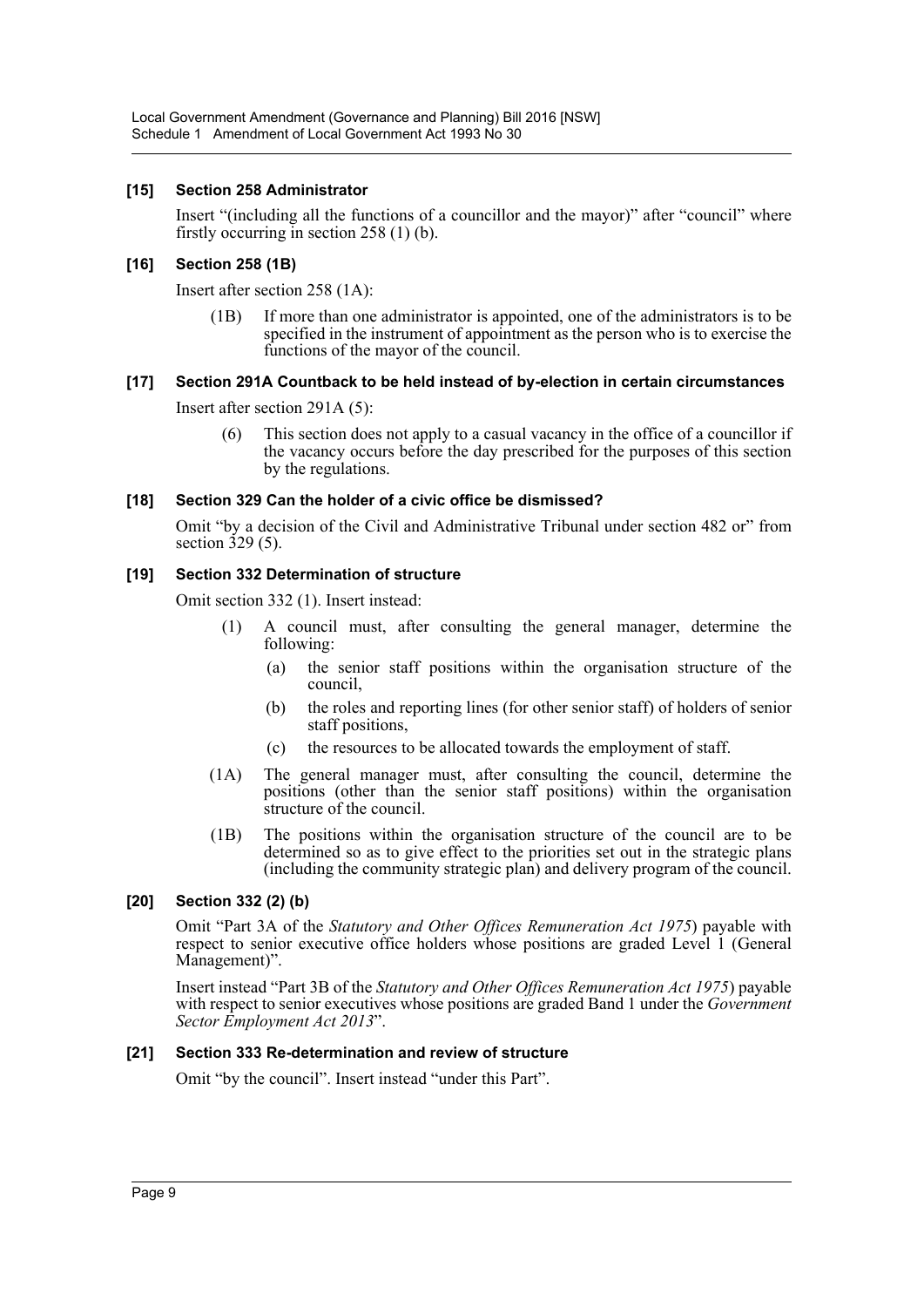## **[15] Section 258 Administrator**

Insert "(including all the functions of a councillor and the mayor)" after "council" where firstly occurring in section 258 (1) (b).

## **[16] Section 258 (1B)**

Insert after section 258 (1A):

(1B) If more than one administrator is appointed, one of the administrators is to be specified in the instrument of appointment as the person who is to exercise the functions of the mayor of the council.

## **[17] Section 291A Countback to be held instead of by-election in certain circumstances**

Insert after section 291A (5):

This section does not apply to a casual vacancy in the office of a councillor if the vacancy occurs before the day prescribed for the purposes of this section by the regulations.

## **[18] Section 329 Can the holder of a civic office be dismissed?**

Omit "by a decision of the Civil and Administrative Tribunal under section 482 or" from section  $\overline{3}29(5)$ .

## **[19] Section 332 Determination of structure**

Omit section 332 (1). Insert instead:

- (1) A council must, after consulting the general manager, determine the following:
	- (a) the senior staff positions within the organisation structure of the council,
	- (b) the roles and reporting lines (for other senior staff) of holders of senior staff positions,
	- (c) the resources to be allocated towards the employment of staff.
- (1A) The general manager must, after consulting the council, determine the positions (other than the senior staff positions) within the organisation structure of the council.
- (1B) The positions within the organisation structure of the council are to be determined so as to give effect to the priorities set out in the strategic plans (including the community strategic plan) and delivery program of the council.

## **[20] Section 332 (2) (b)**

Omit "Part 3A of the *Statutory and Other Offices Remuneration Act 1975*) payable with respect to senior executive office holders whose positions are graded Level 1 (General Management)".

Insert instead "Part 3B of the *Statutory and Other Offices Remuneration Act 1975*) payable with respect to senior executives whose positions are graded Band 1 under the *Government Sector Employment Act 2013*".

## **[21] Section 333 Re-determination and review of structure**

Omit "by the council". Insert instead "under this Part".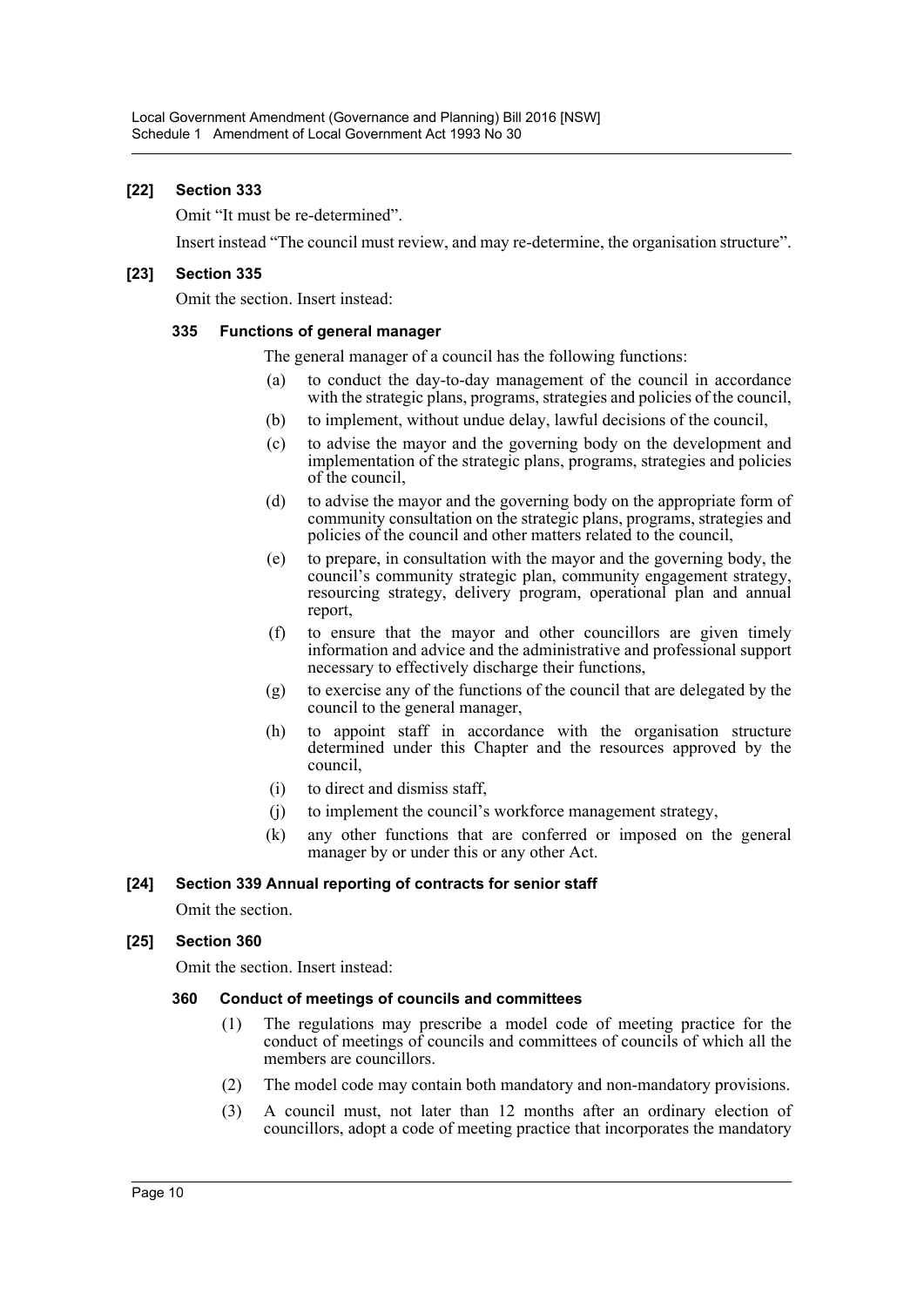## **[22] Section 333**

Omit "It must be re-determined".

Insert instead "The council must review, and may re-determine, the organisation structure".

## **[23] Section 335**

Omit the section. Insert instead:

#### **335 Functions of general manager**

The general manager of a council has the following functions:

- (a) to conduct the day-to-day management of the council in accordance with the strategic plans, programs, strategies and policies of the council,
- (b) to implement, without undue delay, lawful decisions of the council,
- (c) to advise the mayor and the governing body on the development and implementation of the strategic plans, programs, strategies and policies of the council,
- (d) to advise the mayor and the governing body on the appropriate form of community consultation on the strategic plans, programs, strategies and policies of the council and other matters related to the council,
- (e) to prepare, in consultation with the mayor and the governing body, the council's community strategic plan, community engagement strategy, resourcing strategy, delivery program, operational plan and annual report,
- (f) to ensure that the mayor and other councillors are given timely information and advice and the administrative and professional support necessary to effectively discharge their functions,
- (g) to exercise any of the functions of the council that are delegated by the council to the general manager,
- (h) to appoint staff in accordance with the organisation structure determined under this Chapter and the resources approved by the council,
- (i) to direct and dismiss staff,
- (j) to implement the council's workforce management strategy,
- (k) any other functions that are conferred or imposed on the general manager by or under this or any other Act.

## **[24] Section 339 Annual reporting of contracts for senior staff**

Omit the section.

## **[25] Section 360**

Omit the section. Insert instead:

#### **360 Conduct of meetings of councils and committees**

- (1) The regulations may prescribe a model code of meeting practice for the conduct of meetings of councils and committees of councils of which all the members are councillors.
- (2) The model code may contain both mandatory and non-mandatory provisions.
- (3) A council must, not later than 12 months after an ordinary election of councillors, adopt a code of meeting practice that incorporates the mandatory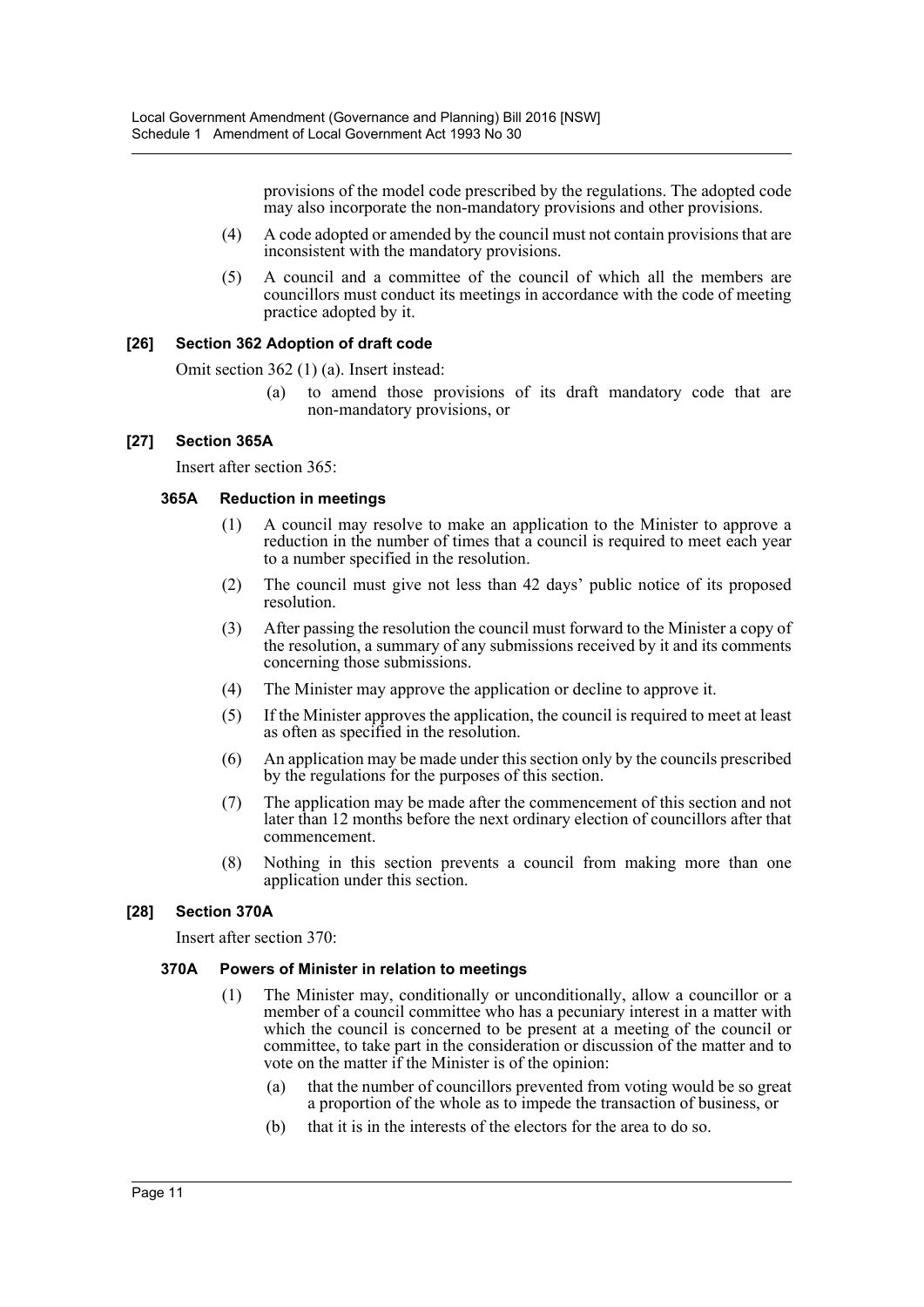provisions of the model code prescribed by the regulations. The adopted code may also incorporate the non-mandatory provisions and other provisions.

- (4) A code adopted or amended by the council must not contain provisions that are inconsistent with the mandatory provisions.
- (5) A council and a committee of the council of which all the members are councillors must conduct its meetings in accordance with the code of meeting practice adopted by it.

## **[26] Section 362 Adoption of draft code**

Omit section 362 (1) (a). Insert instead:

(a) to amend those provisions of its draft mandatory code that are non-mandatory provisions, or

## **[27] Section 365A**

Insert after section 365:

## **365A Reduction in meetings**

- (1) A council may resolve to make an application to the Minister to approve a reduction in the number of times that a council is required to meet each year to a number specified in the resolution.
- (2) The council must give not less than 42 days' public notice of its proposed resolution.
- (3) After passing the resolution the council must forward to the Minister a copy of the resolution, a summary of any submissions received by it and its comments concerning those submissions.
- (4) The Minister may approve the application or decline to approve it.
- (5) If the Minister approves the application, the council is required to meet at least as often as specified in the resolution.
- (6) An application may be made under this section only by the councils prescribed by the regulations for the purposes of this section.
- (7) The application may be made after the commencement of this section and not later than 12 months before the next ordinary election of councillors after that commencement.
- (8) Nothing in this section prevents a council from making more than one application under this section.

## **[28] Section 370A**

Insert after section 370:

## **370A Powers of Minister in relation to meetings**

- (1) The Minister may, conditionally or unconditionally, allow a councillor or a member of a council committee who has a pecuniary interest in a matter with which the council is concerned to be present at a meeting of the council or committee, to take part in the consideration or discussion of the matter and to vote on the matter if the Minister is of the opinion:
	- (a) that the number of councillors prevented from voting would be so great a proportion of the whole as to impede the transaction of business, or
	- (b) that it is in the interests of the electors for the area to do so.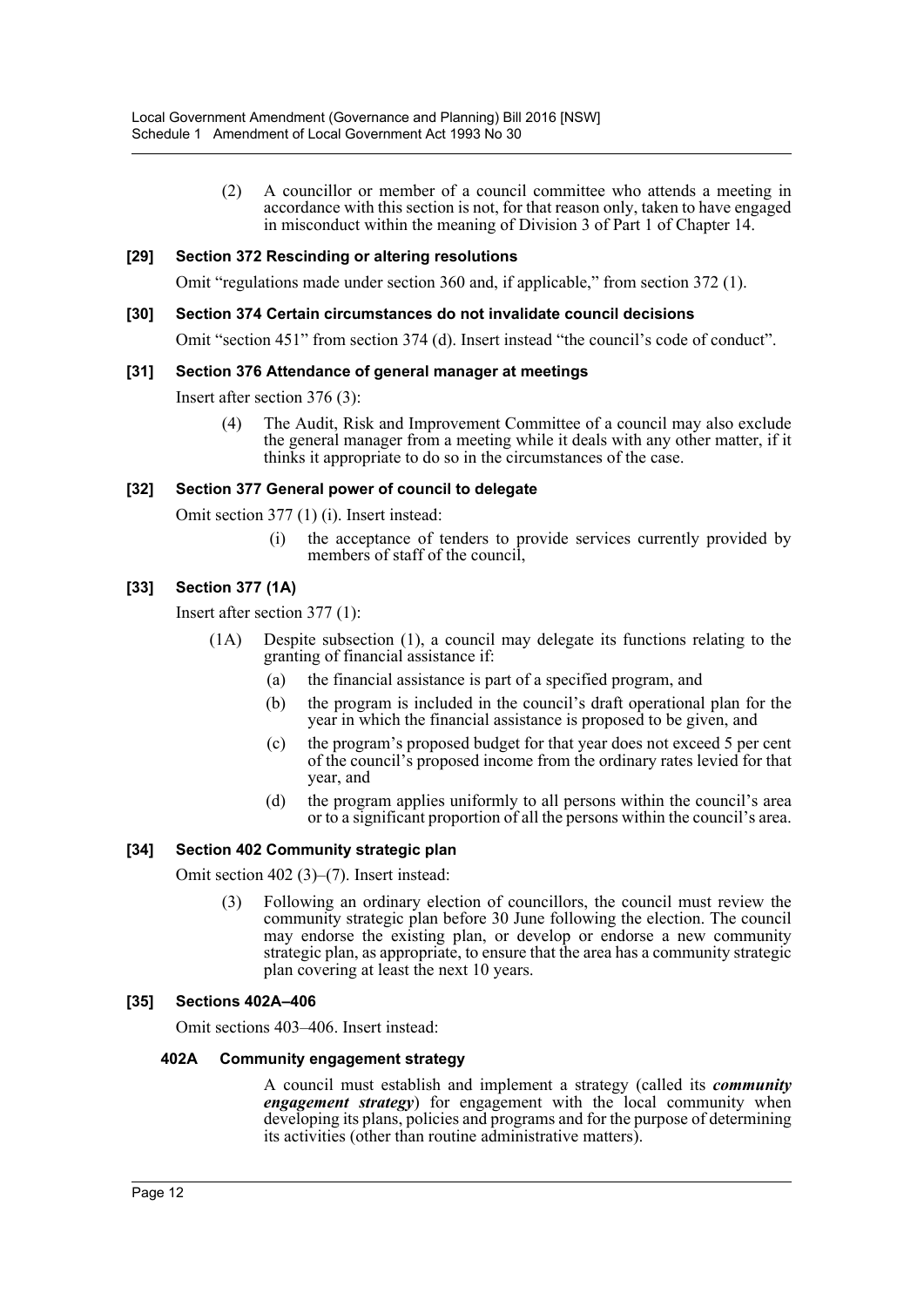(2) A councillor or member of a council committee who attends a meeting in accordance with this section is not, for that reason only, taken to have engaged in misconduct within the meaning of Division 3 of Part 1 of Chapter 14.

## **[29] Section 372 Rescinding or altering resolutions**

Omit "regulations made under section 360 and, if applicable," from section 372 (1).

#### **[30] Section 374 Certain circumstances do not invalidate council decisions**

Omit "section 451" from section 374 (d). Insert instead "the council's code of conduct".

#### **[31] Section 376 Attendance of general manager at meetings**

Insert after section 376 (3):

(4) The Audit, Risk and Improvement Committee of a council may also exclude the general manager from a meeting while it deals with any other matter, if it thinks it appropriate to do so in the circumstances of the case.

#### **[32] Section 377 General power of council to delegate**

Omit section 377 (1) (i). Insert instead:

(i) the acceptance of tenders to provide services currently provided by members of staff of the council,

## **[33] Section 377 (1A)**

Insert after section 377 (1):

- (1A) Despite subsection (1), a council may delegate its functions relating to the granting of financial assistance if:
	- (a) the financial assistance is part of a specified program, and
	- (b) the program is included in the council's draft operational plan for the year in which the financial assistance is proposed to be given, and
	- (c) the program's proposed budget for that year does not exceed 5 per cent of the council's proposed income from the ordinary rates levied for that year, and
	- (d) the program applies uniformly to all persons within the council's area or to a significant proportion of all the persons within the council's area.

## **[34] Section 402 Community strategic plan**

Omit section 402 (3)–(7). Insert instead:

(3) Following an ordinary election of councillors, the council must review the community strategic plan before 30 June following the election. The council may endorse the existing plan, or develop or endorse a new community strategic plan, as appropriate, to ensure that the area has a community strategic plan covering at least the next 10 years.

## **[35] Sections 402A–406**

Omit sections 403–406. Insert instead:

#### **402A Community engagement strategy**

A council must establish and implement a strategy (called its *community engagement strategy*) for engagement with the local community when developing its plans, policies and programs and for the purpose of determining its activities (other than routine administrative matters).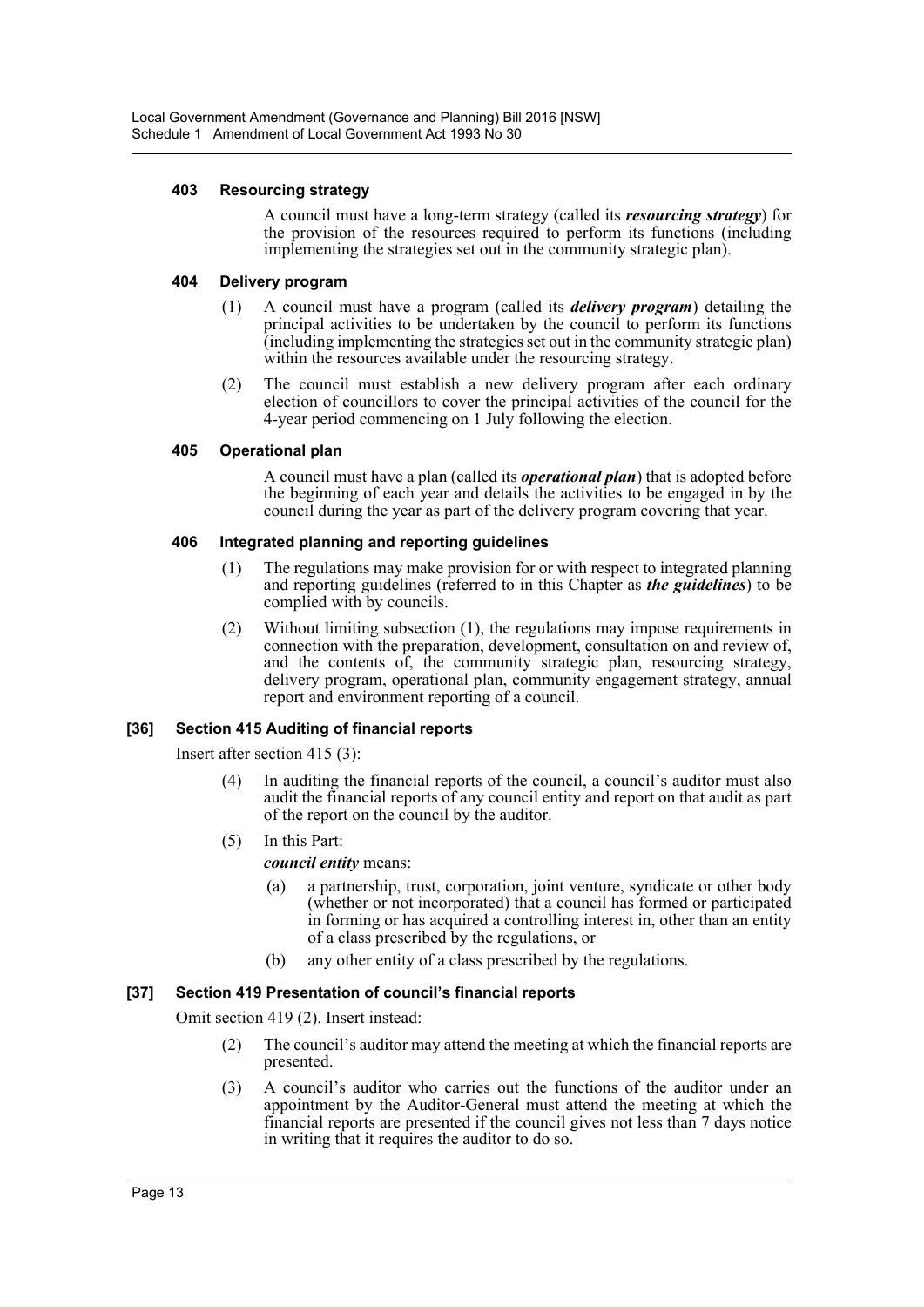## **403 Resourcing strategy**

A council must have a long-term strategy (called its *resourcing strategy*) for the provision of the resources required to perform its functions (including implementing the strategies set out in the community strategic plan).

## **404 Delivery program**

- (1) A council must have a program (called its *delivery program*) detailing the principal activities to be undertaken by the council to perform its functions (including implementing the strategies set out in the community strategic plan) within the resources available under the resourcing strategy.
- (2) The council must establish a new delivery program after each ordinary election of councillors to cover the principal activities of the council for the 4-year period commencing on 1 July following the election.

## **405 Operational plan**

A council must have a plan (called its *operational plan*) that is adopted before the beginning of each year and details the activities to be engaged in by the council during the year as part of the delivery program covering that year.

## **406 Integrated planning and reporting guidelines**

- (1) The regulations may make provision for or with respect to integrated planning and reporting guidelines (referred to in this Chapter as *the guidelines*) to be complied with by councils.
- (2) Without limiting subsection (1), the regulations may impose requirements in connection with the preparation, development, consultation on and review of, and the contents of, the community strategic plan, resourcing strategy, delivery program, operational plan, community engagement strategy, annual report and environment reporting of a council.

## **[36] Section 415 Auditing of financial reports**

Insert after section 415 (3):

- (4) In auditing the financial reports of the council, a council's auditor must also audit the financial reports of any council entity and report on that audit as part of the report on the council by the auditor.
- (5) In this Part:

*council entity* means:

- (a) a partnership, trust, corporation, joint venture, syndicate or other body (whether or not incorporated) that a council has formed or participated in forming or has acquired a controlling interest in, other than an entity of a class prescribed by the regulations, or
- (b) any other entity of a class prescribed by the regulations.

## **[37] Section 419 Presentation of council's financial reports**

Omit section 419 (2). Insert instead:

- (2) The council's auditor may attend the meeting at which the financial reports are presented.
- (3) A council's auditor who carries out the functions of the auditor under an appointment by the Auditor-General must attend the meeting at which the financial reports are presented if the council gives not less than 7 days notice in writing that it requires the auditor to do so.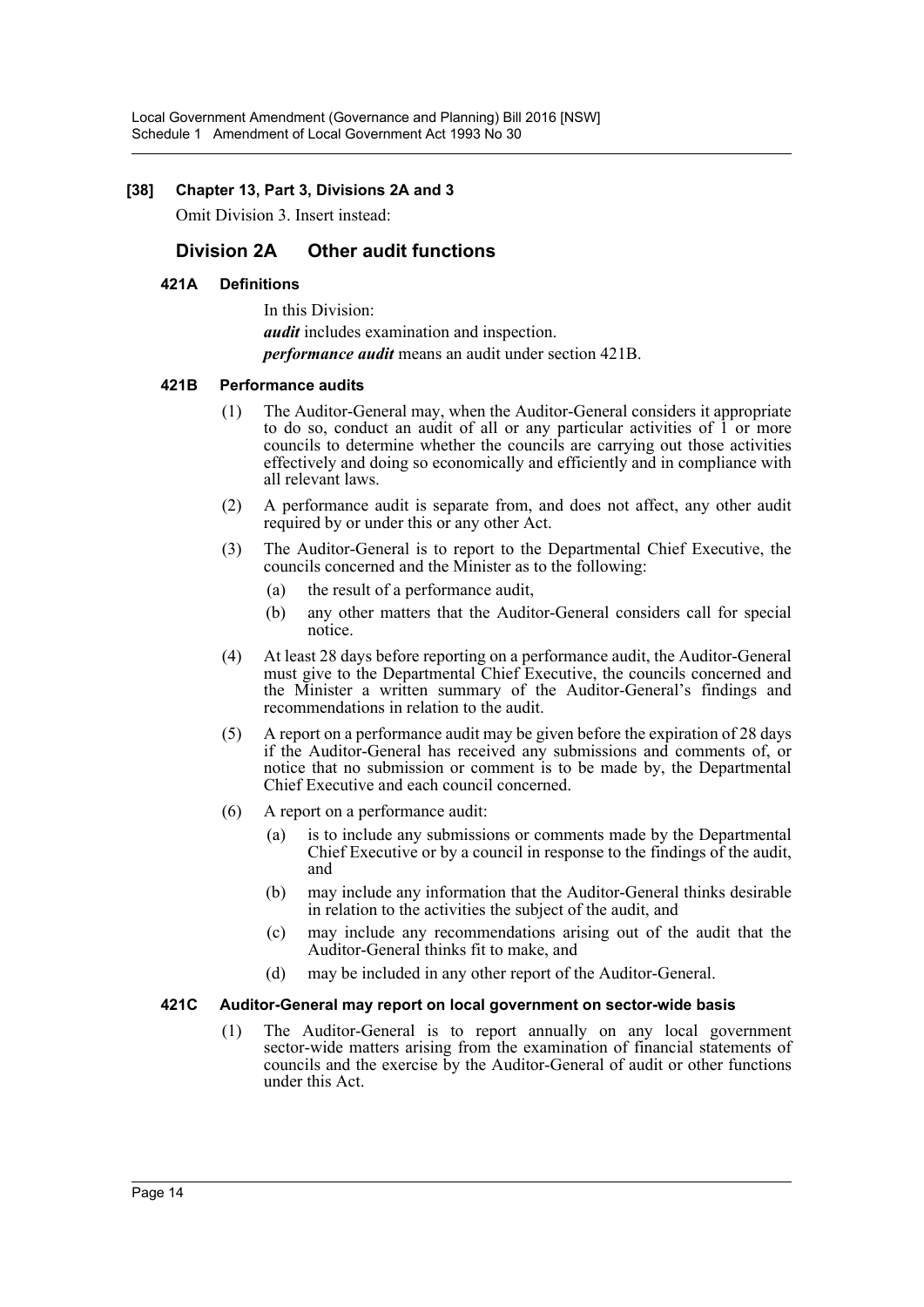## **[38] Chapter 13, Part 3, Divisions 2A and 3**

Omit Division 3. Insert instead:

## **Division 2A Other audit functions**

## **421A Definitions**

In this Division: *audit* includes examination and inspection. *performance audit* means an audit under section 421B.

## **421B Performance audits**

- (1) The Auditor-General may, when the Auditor-General considers it appropriate to do so, conduct an audit of all or any particular activities of 1 or more councils to determine whether the councils are carrying out those activities effectively and doing so economically and efficiently and in compliance with all relevant laws.
- (2) A performance audit is separate from, and does not affect, any other audit required by or under this or any other Act.
- (3) The Auditor-General is to report to the Departmental Chief Executive, the councils concerned and the Minister as to the following:
	- (a) the result of a performance audit,
	- (b) any other matters that the Auditor-General considers call for special notice.
- (4) At least 28 days before reporting on a performance audit, the Auditor-General must give to the Departmental Chief Executive, the councils concerned and the Minister a written summary of the Auditor-General's findings and recommendations in relation to the audit.
- (5) A report on a performance audit may be given before the expiration of 28 days if the Auditor-General has received any submissions and comments of, or notice that no submission or comment is to be made by, the Departmental Chief Executive and each council concerned.
- (6) A report on a performance audit:
	- (a) is to include any submissions or comments made by the Departmental Chief Executive or by a council in response to the findings of the audit, and
	- (b) may include any information that the Auditor-General thinks desirable in relation to the activities the subject of the audit, and
	- (c) may include any recommendations arising out of the audit that the Auditor-General thinks fit to make, and
	- (d) may be included in any other report of the Auditor-General.

## **421C Auditor-General may report on local government on sector-wide basis**

(1) The Auditor-General is to report annually on any local government sector-wide matters arising from the examination of financial statements of councils and the exercise by the Auditor-General of audit or other functions under this Act.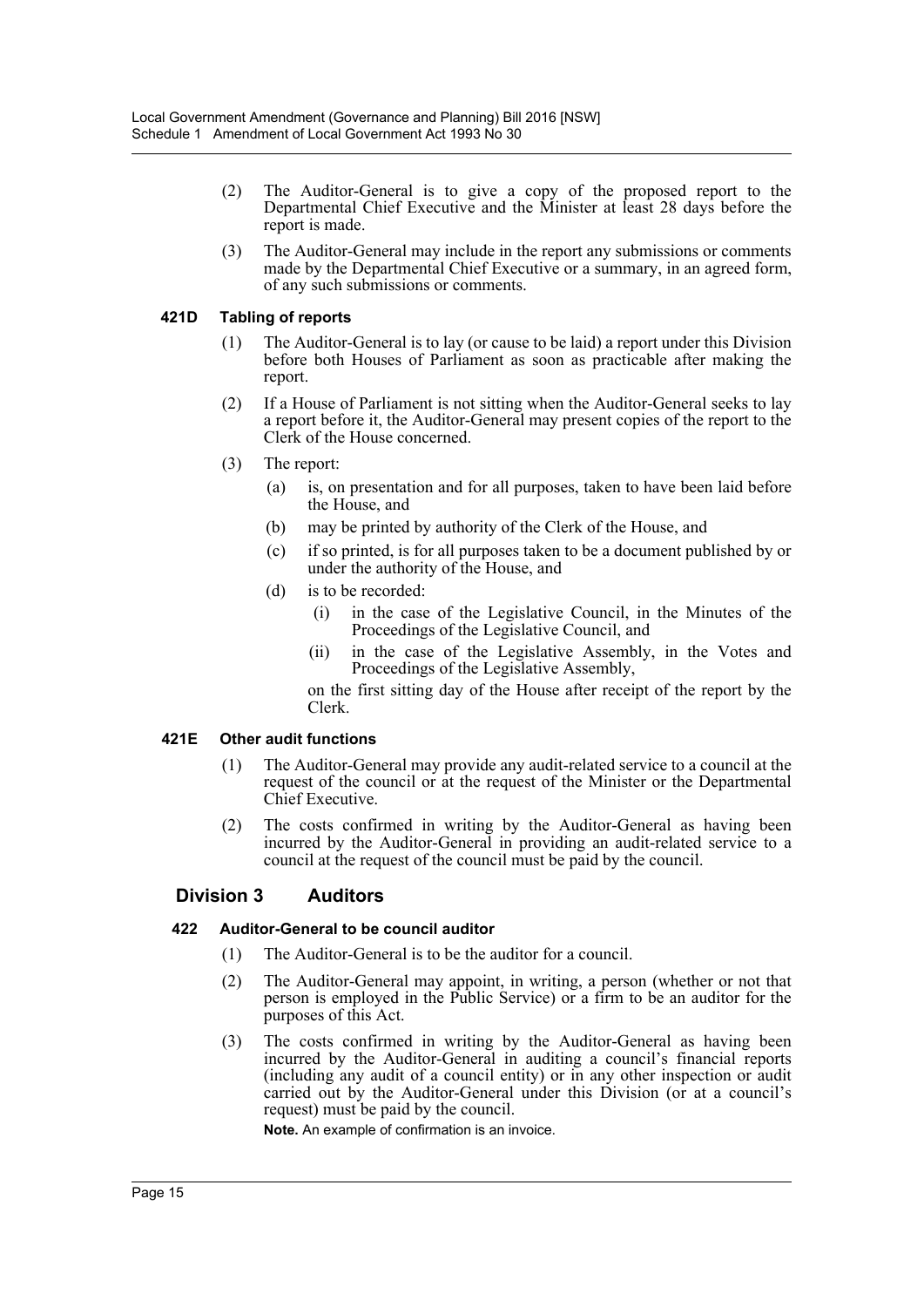- (2) The Auditor-General is to give a copy of the proposed report to the Departmental Chief Executive and the Minister at least 28 days before the report is made.
- (3) The Auditor-General may include in the report any submissions or comments made by the Departmental Chief Executive or a summary, in an agreed form, of any such submissions or comments.

## **421D Tabling of reports**

- (1) The Auditor-General is to lay (or cause to be laid) a report under this Division before both Houses of Parliament as soon as practicable after making the report.
- (2) If a House of Parliament is not sitting when the Auditor-General seeks to lay a report before it, the Auditor-General may present copies of the report to the Clerk of the House concerned.
- (3) The report:
	- (a) is, on presentation and for all purposes, taken to have been laid before the House, and
	- (b) may be printed by authority of the Clerk of the House, and
	- (c) if so printed, is for all purposes taken to be a document published by or under the authority of the House, and
	- (d) is to be recorded:
		- (i) in the case of the Legislative Council, in the Minutes of the Proceedings of the Legislative Council, and
		- (ii) in the case of the Legislative Assembly, in the Votes and Proceedings of the Legislative Assembly,

on the first sitting day of the House after receipt of the report by the Clerk.

## **421E Other audit functions**

- (1) The Auditor-General may provide any audit-related service to a council at the request of the council or at the request of the Minister or the Departmental Chief Executive.
- (2) The costs confirmed in writing by the Auditor-General as having been incurred by the Auditor-General in providing an audit-related service to a council at the request of the council must be paid by the council.

## **Division 3 Auditors**

## **422 Auditor-General to be council auditor**

- (1) The Auditor-General is to be the auditor for a council.
- (2) The Auditor-General may appoint, in writing, a person (whether or not that person is employed in the Public Service) or a firm to be an auditor for the purposes of this Act.
- (3) The costs confirmed in writing by the Auditor-General as having been incurred by the Auditor-General in auditing a council's financial reports (including any audit of a council entity) or in any other inspection or audit carried out by the Auditor-General under this Division (or at a council's request) must be paid by the council.

**Note.** An example of confirmation is an invoice.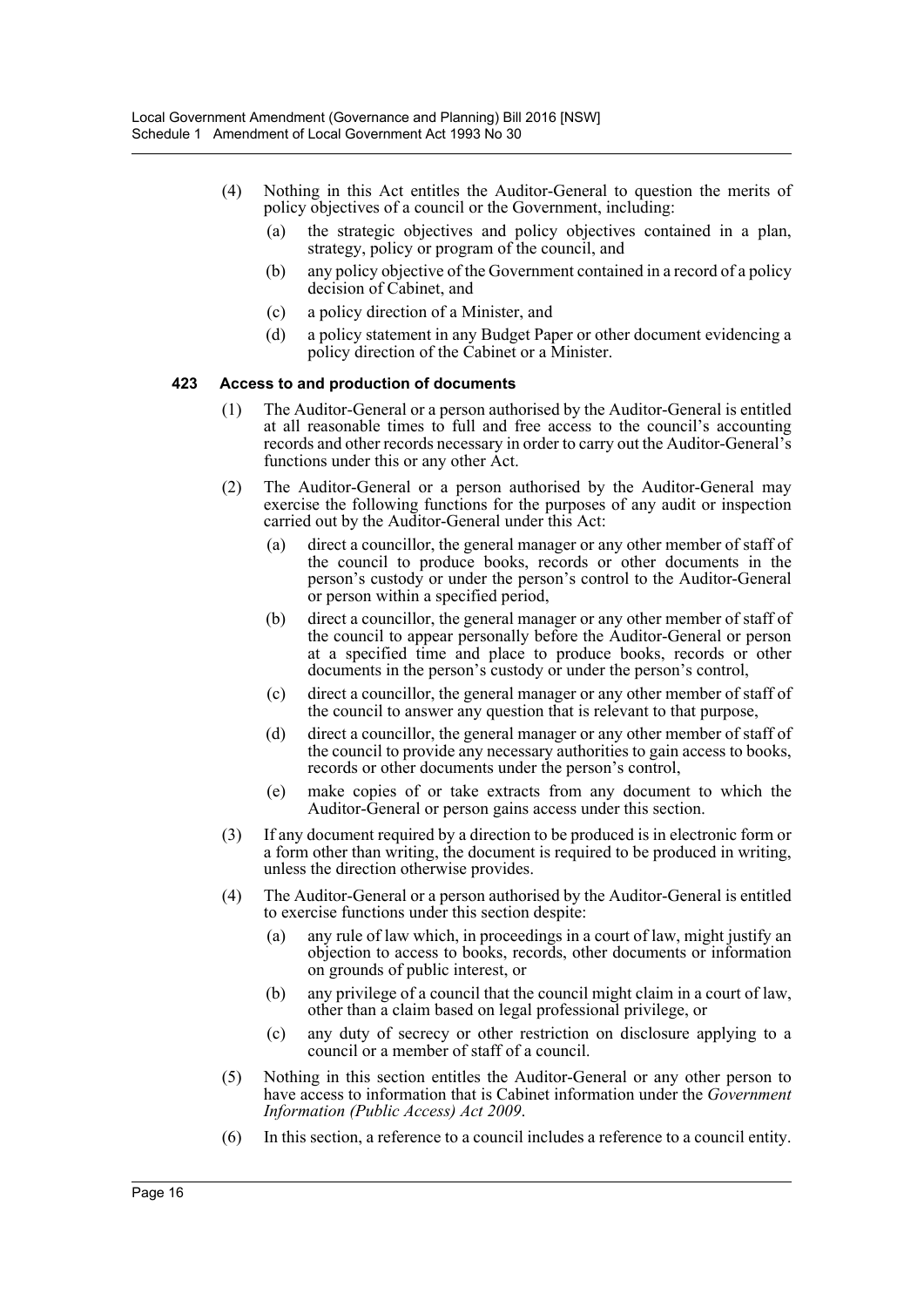- (4) Nothing in this Act entitles the Auditor-General to question the merits of policy objectives of a council or the Government, including:
	- (a) the strategic objectives and policy objectives contained in a plan, strategy, policy or program of the council, and
	- (b) any policy objective of the Government contained in a record of a policy decision of Cabinet, and
	- (c) a policy direction of a Minister, and
	- (d) a policy statement in any Budget Paper or other document evidencing a policy direction of the Cabinet or a Minister.

#### **423 Access to and production of documents**

- (1) The Auditor-General or a person authorised by the Auditor-General is entitled at all reasonable times to full and free access to the council's accounting records and other records necessary in order to carry out the Auditor-General's functions under this or any other Act.
- (2) The Auditor-General or a person authorised by the Auditor-General may exercise the following functions for the purposes of any audit or inspection carried out by the Auditor-General under this Act:
	- (a) direct a councillor, the general manager or any other member of staff of the council to produce books, records or other documents in the person's custody or under the person's control to the Auditor-General or person within a specified period,
	- (b) direct a councillor, the general manager or any other member of staff of the council to appear personally before the Auditor-General or person at a specified time and place to produce books, records or other documents in the person's custody or under the person's control,
	- (c) direct a councillor, the general manager or any other member of staff of the council to answer any question that is relevant to that purpose,
	- (d) direct a councillor, the general manager or any other member of staff of the council to provide any necessary authorities to gain access to books, records or other documents under the person's control,
	- (e) make copies of or take extracts from any document to which the Auditor-General or person gains access under this section.
- (3) If any document required by a direction to be produced is in electronic form or a form other than writing, the document is required to be produced in writing, unless the direction otherwise provides.
- (4) The Auditor-General or a person authorised by the Auditor-General is entitled to exercise functions under this section despite:
	- (a) any rule of law which, in proceedings in a court of law, might justify an objection to access to books, records, other documents or information on grounds of public interest, or
	- (b) any privilege of a council that the council might claim in a court of law, other than a claim based on legal professional privilege, or
	- (c) any duty of secrecy or other restriction on disclosure applying to a council or a member of staff of a council.
- (5) Nothing in this section entitles the Auditor-General or any other person to have access to information that is Cabinet information under the *Government Information (Public Access) Act 2009*.
- (6) In this section, a reference to a council includes a reference to a council entity.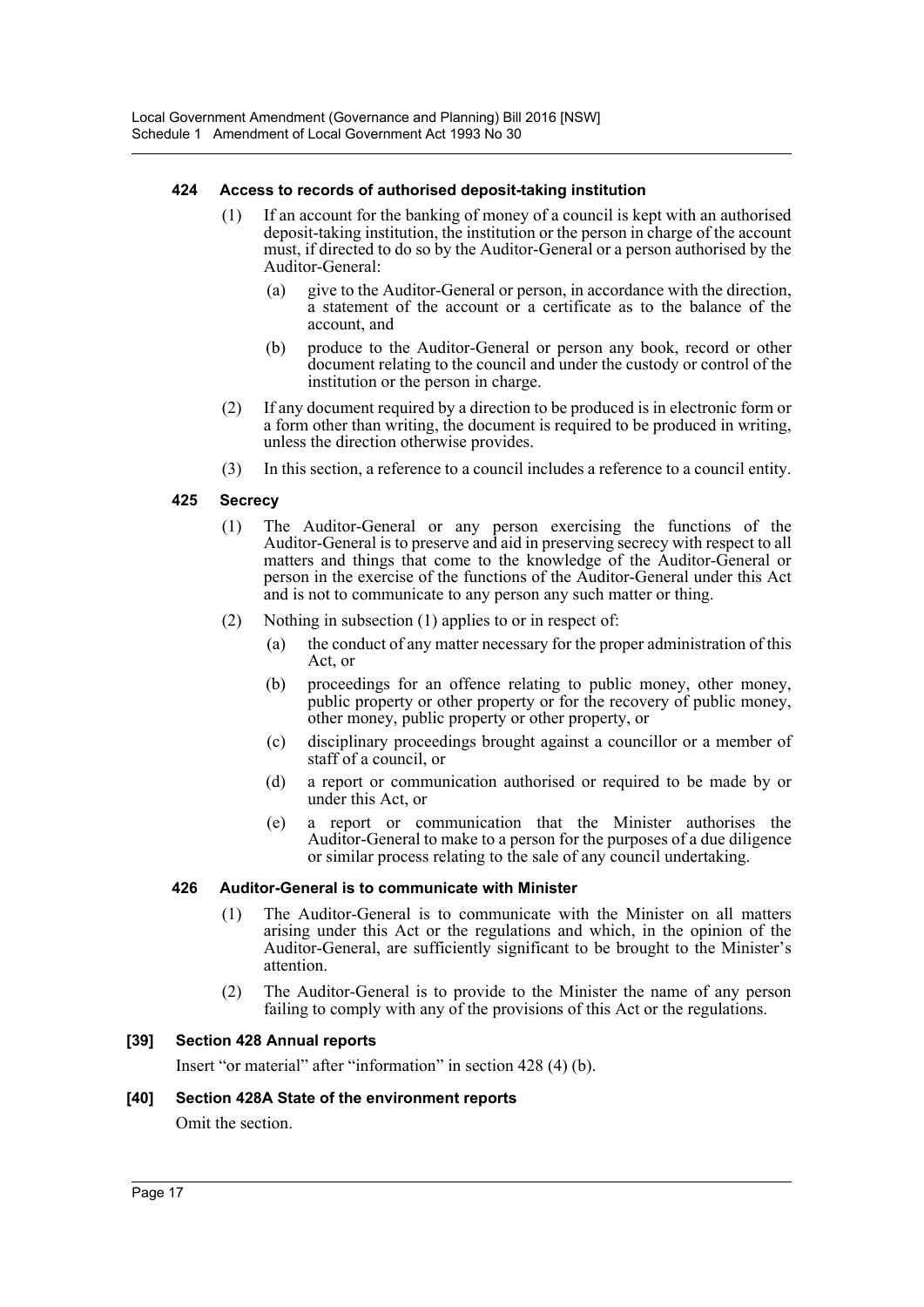## **424 Access to records of authorised deposit-taking institution**

- (1) If an account for the banking of money of a council is kept with an authorised deposit-taking institution, the institution or the person in charge of the account must, if directed to do so by the Auditor-General or a person authorised by the Auditor-General:
	- (a) give to the Auditor-General or person, in accordance with the direction, a statement of the account or a certificate as to the balance of the account, and
	- (b) produce to the Auditor-General or person any book, record or other document relating to the council and under the custody or control of the institution or the person in charge.
- (2) If any document required by a direction to be produced is in electronic form or a form other than writing, the document is required to be produced in writing, unless the direction otherwise provides.
- (3) In this section, a reference to a council includes a reference to a council entity.

## **425 Secrecy**

- (1) The Auditor-General or any person exercising the functions of the Auditor-General is to preserve and aid in preserving secrecy with respect to all matters and things that come to the knowledge of the Auditor-General or person in the exercise of the functions of the Auditor-General under this Act and is not to communicate to any person any such matter or thing.
- (2) Nothing in subsection (1) applies to or in respect of:
	- (a) the conduct of any matter necessary for the proper administration of this Act, or
	- (b) proceedings for an offence relating to public money, other money, public property or other property or for the recovery of public money, other money, public property or other property, or
	- (c) disciplinary proceedings brought against a councillor or a member of staff of a council, or
	- (d) a report or communication authorised or required to be made by or under this Act, or
	- (e) a report or communication that the Minister authorises the Auditor-General to make to a person for the purposes of a due diligence or similar process relating to the sale of any council undertaking.

## **426 Auditor-General is to communicate with Minister**

- (1) The Auditor-General is to communicate with the Minister on all matters arising under this Act or the regulations and which, in the opinion of the Auditor-General, are sufficiently significant to be brought to the Minister's attention.
- (2) The Auditor-General is to provide to the Minister the name of any person failing to comply with any of the provisions of this Act or the regulations.

## **[39] Section 428 Annual reports**

Insert "or material" after "information" in section 428 (4) (b).

## **[40] Section 428A State of the environment reports**

Omit the section.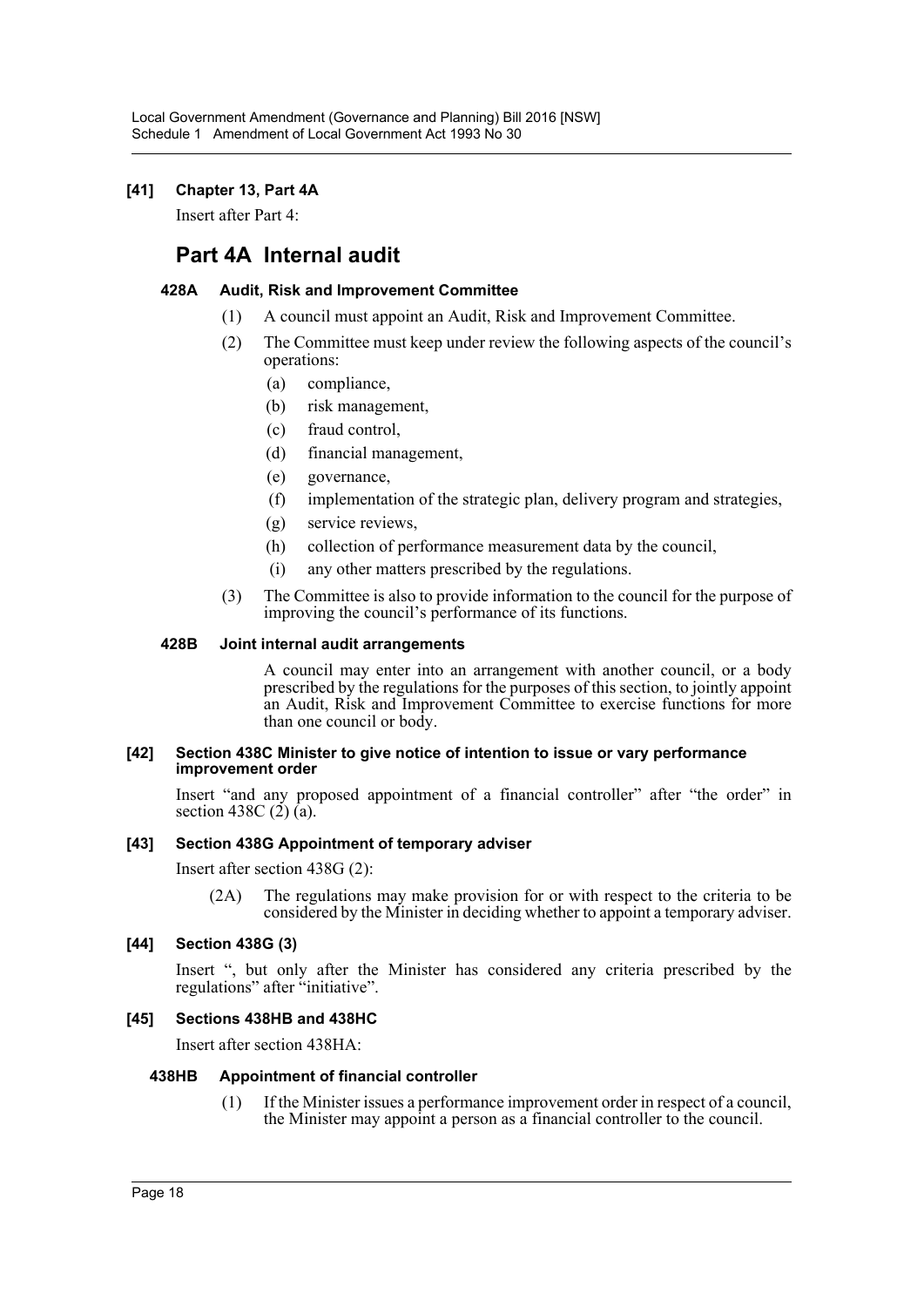## **[41] Chapter 13, Part 4A**

Insert after Part 4:

## **Part 4A Internal audit**

## **428A Audit, Risk and Improvement Committee**

- (1) A council must appoint an Audit, Risk and Improvement Committee.
- (2) The Committee must keep under review the following aspects of the council's operations:
	- (a) compliance,
	- (b) risk management,
	- (c) fraud control,
	- (d) financial management,
	- (e) governance,
	- (f) implementation of the strategic plan, delivery program and strategies,
	- (g) service reviews,
	- (h) collection of performance measurement data by the council,
	- (i) any other matters prescribed by the regulations.
- (3) The Committee is also to provide information to the council for the purpose of improving the council's performance of its functions.

## **428B Joint internal audit arrangements**

A council may enter into an arrangement with another council, or a body prescribed by the regulations for the purposes of this section, to jointly appoint an Audit, Risk and Improvement Committee to exercise functions for more than one council or body.

#### **[42] Section 438C Minister to give notice of intention to issue or vary performance improvement order**

Insert "and any proposed appointment of a financial controller" after "the order" in section 438C  $(2)$   $(a)$ .

## **[43] Section 438G Appointment of temporary adviser**

Insert after section 438G (2):

(2A) The regulations may make provision for or with respect to the criteria to be considered by the Minister in deciding whether to appoint a temporary adviser.

## **[44] Section 438G (3)**

Insert ", but only after the Minister has considered any criteria prescribed by the regulations" after "initiative".

## **[45] Sections 438HB and 438HC**

Insert after section 438HA:

## **438HB Appointment of financial controller**

(1) If the Minister issues a performance improvement order in respect of a council, the Minister may appoint a person as a financial controller to the council.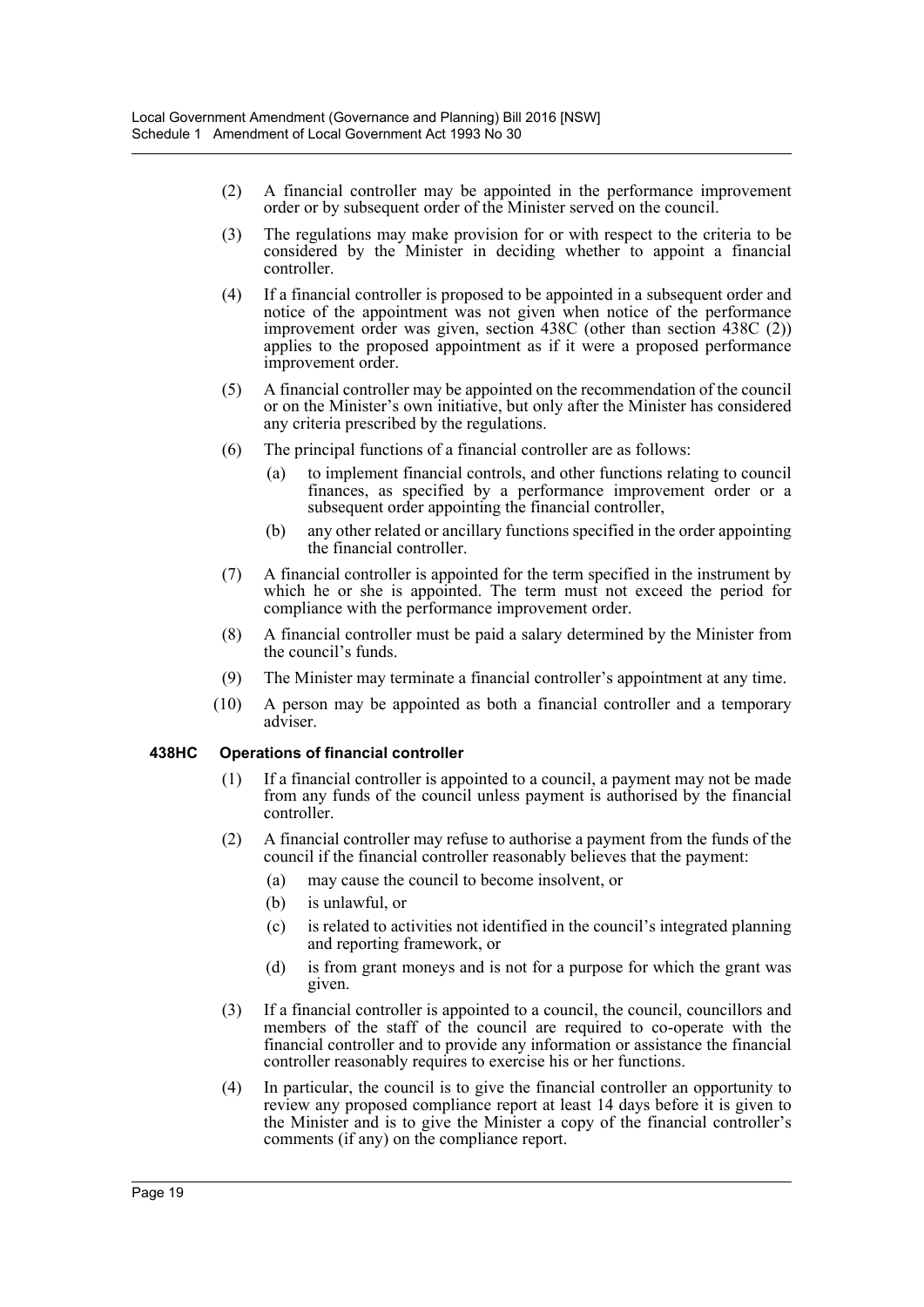- (2) A financial controller may be appointed in the performance improvement order or by subsequent order of the Minister served on the council.
- (3) The regulations may make provision for or with respect to the criteria to be considered by the Minister in deciding whether to appoint a financial controller.
- (4) If a financial controller is proposed to be appointed in a subsequent order and notice of the appointment was not given when notice of the performance improvement order was given, section 438C (other than section 438C (2)) applies to the proposed appointment as if it were a proposed performance improvement order.
- (5) A financial controller may be appointed on the recommendation of the council or on the Minister's own initiative, but only after the Minister has considered any criteria prescribed by the regulations.
- (6) The principal functions of a financial controller are as follows:
	- (a) to implement financial controls, and other functions relating to council finances, as specified by a performance improvement order or a subsequent order appointing the financial controller,
	- (b) any other related or ancillary functions specified in the order appointing the financial controller.
- (7) A financial controller is appointed for the term specified in the instrument by which he or she is appointed. The term must not exceed the period for compliance with the performance improvement order.
- (8) A financial controller must be paid a salary determined by the Minister from the council's funds.
- (9) The Minister may terminate a financial controller's appointment at any time.
- (10) A person may be appointed as both a financial controller and a temporary adviser.

## **438HC Operations of financial controller**

- (1) If a financial controller is appointed to a council, a payment may not be made from any funds of the council unless payment is authorised by the financial controller.
- (2) A financial controller may refuse to authorise a payment from the funds of the council if the financial controller reasonably believes that the payment:
	- (a) may cause the council to become insolvent, or
	- (b) is unlawful, or
	- (c) is related to activities not identified in the council's integrated planning and reporting framework, or
	- (d) is from grant moneys and is not for a purpose for which the grant was given.
- (3) If a financial controller is appointed to a council, the council, councillors and members of the staff of the council are required to co-operate with the financial controller and to provide any information or assistance the financial controller reasonably requires to exercise his or her functions.
- (4) In particular, the council is to give the financial controller an opportunity to review any proposed compliance report at least 14 days before it is given to the Minister and is to give the Minister a copy of the financial controller's comments (if any) on the compliance report.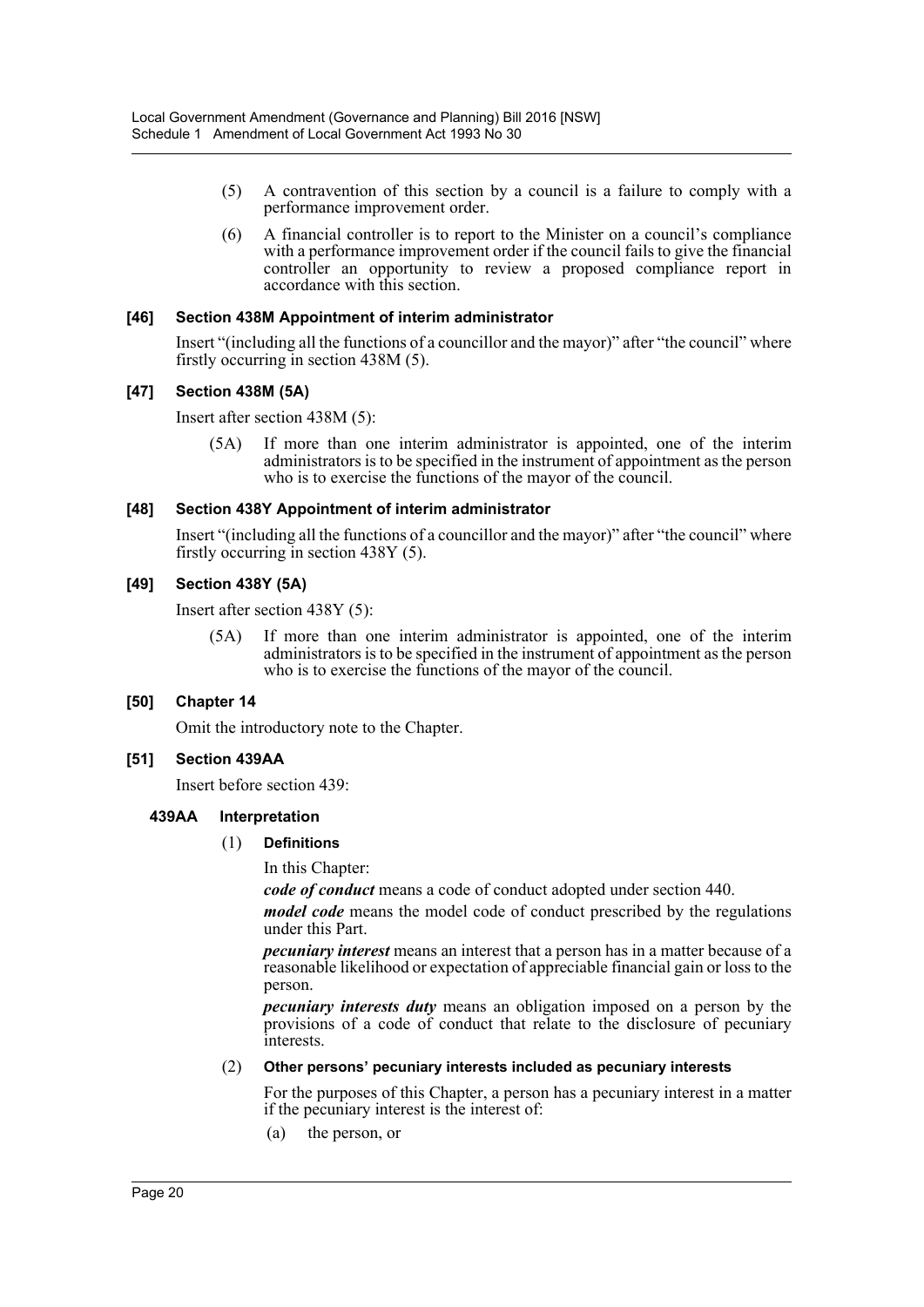- (5) A contravention of this section by a council is a failure to comply with a performance improvement order.
- (6) A financial controller is to report to the Minister on a council's compliance with a performance improvement order if the council fails to give the financial controller an opportunity to review a proposed compliance report in accordance with this section.

## **[46] Section 438M Appointment of interim administrator**

Insert "(including all the functions of a councillor and the mayor)" after "the council" where firstly occurring in section 438M (5).

## **[47] Section 438M (5A)**

Insert after section 438M (5):

(5A) If more than one interim administrator is appointed, one of the interim administrators is to be specified in the instrument of appointment as the person who is to exercise the functions of the mayor of the council.

## **[48] Section 438Y Appointment of interim administrator**

Insert "(including all the functions of a councillor and the mayor)" after "the council" where firstly occurring in section 438Y (5).

## **[49] Section 438Y (5A)**

Insert after section 438Y (5):

(5A) If more than one interim administrator is appointed, one of the interim administrators is to be specified in the instrument of appointment as the person who is to exercise the functions of the mayor of the council.

## **[50] Chapter 14**

Omit the introductory note to the Chapter.

## **[51] Section 439AA**

Insert before section 439:

## **439AA Interpretation**

## (1) **Definitions**

In this Chapter:

*code of conduct* means a code of conduct adopted under section 440.

*model code* means the model code of conduct prescribed by the regulations under this Part.

*pecuniary interest* means an interest that a person has in a matter because of a reasonable likelihood or expectation of appreciable financial gain or loss to the person.

*pecuniary interests duty* means an obligation imposed on a person by the provisions of a code of conduct that relate to the disclosure of pecuniary interests.

#### (2) **Other persons' pecuniary interests included as pecuniary interests**

For the purposes of this Chapter, a person has a pecuniary interest in a matter if the pecuniary interest is the interest of:

(a) the person, or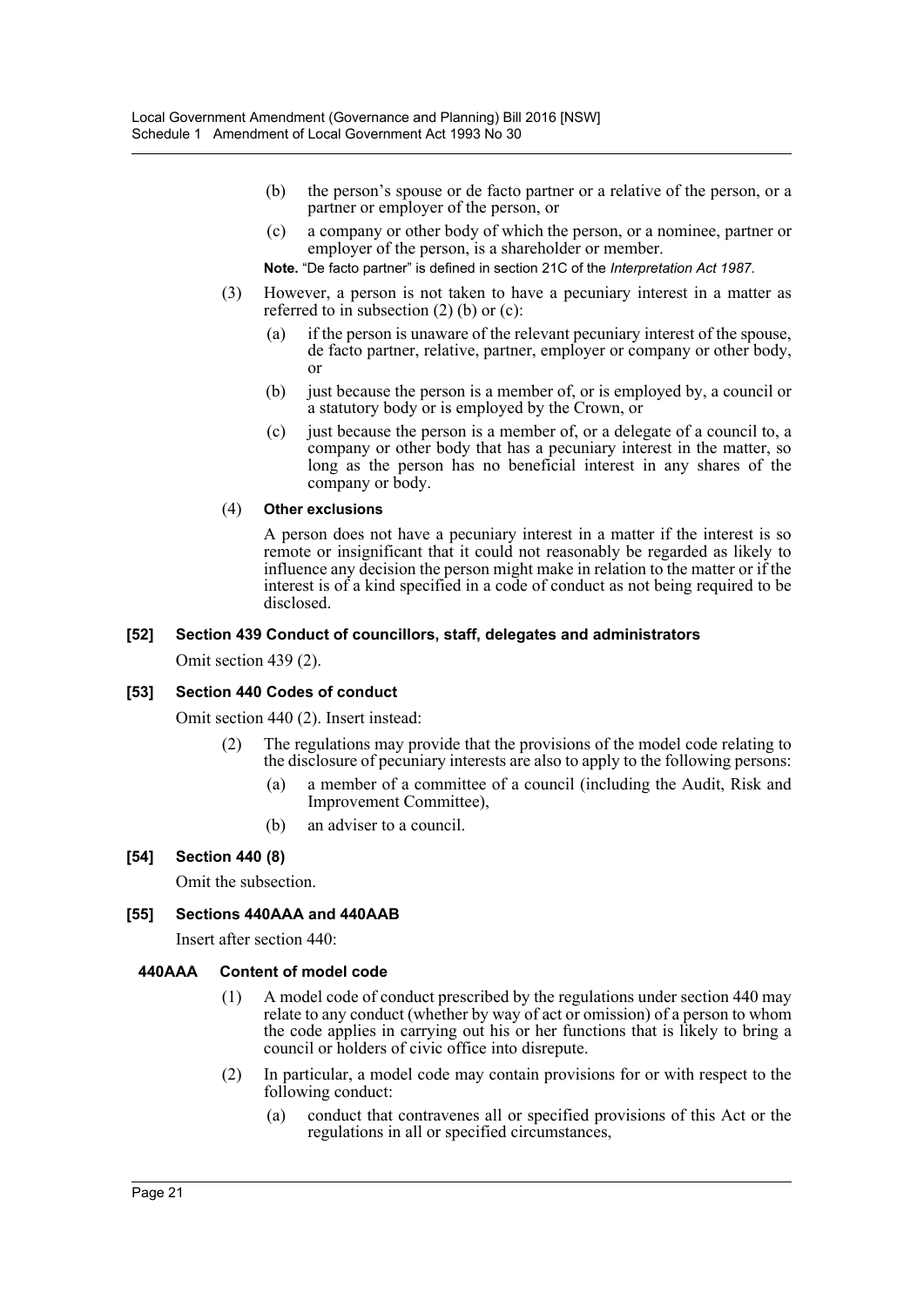- (b) the person's spouse or de facto partner or a relative of the person, or a partner or employer of the person, or
- (c) a company or other body of which the person, or a nominee, partner or employer of the person, is a shareholder or member.
- **Note.** "De facto partner" is defined in section 21C of the *Interpretation Act 1987*.
- (3) However, a person is not taken to have a pecuniary interest in a matter as referred to in subsection (2) (b) or (c):
	- (a) if the person is unaware of the relevant pecuniary interest of the spouse, de facto partner, relative, partner, employer or company or other body, or
	- (b) just because the person is a member of, or is employed by, a council or a statutory body or is employed by the Crown, or
	- (c) just because the person is a member of, or a delegate of a council to, a company or other body that has a pecuniary interest in the matter, so long as the person has no beneficial interest in any shares of the company or body.

## (4) **Other exclusions**

A person does not have a pecuniary interest in a matter if the interest is so remote or insignificant that it could not reasonably be regarded as likely to influence any decision the person might make in relation to the matter or if the interest is of a kind specified in a code of conduct as not being required to be disclosed.

#### **[52] Section 439 Conduct of councillors, staff, delegates and administrators**

Omit section 439 (2).

## **[53] Section 440 Codes of conduct**

Omit section 440 (2). Insert instead:

- (2) The regulations may provide that the provisions of the model code relating to the disclosure of pecuniary interests are also to apply to the following persons:
	- (a) a member of a committee of a council (including the Audit, Risk and Improvement Committee),
	- (b) an adviser to a council.

## **[54] Section 440 (8)**

Omit the subsection.

## **[55] Sections 440AAA and 440AAB**

Insert after section 440:

## **440AAA Content of model code**

- (1) A model code of conduct prescribed by the regulations under section 440 may relate to any conduct (whether by way of act or omission) of a person to whom the code applies in carrying out his or her functions that is likely to bring a council or holders of civic office into disrepute.
- (2) In particular, a model code may contain provisions for or with respect to the following conduct:
	- (a) conduct that contravenes all or specified provisions of this Act or the regulations in all or specified circumstances,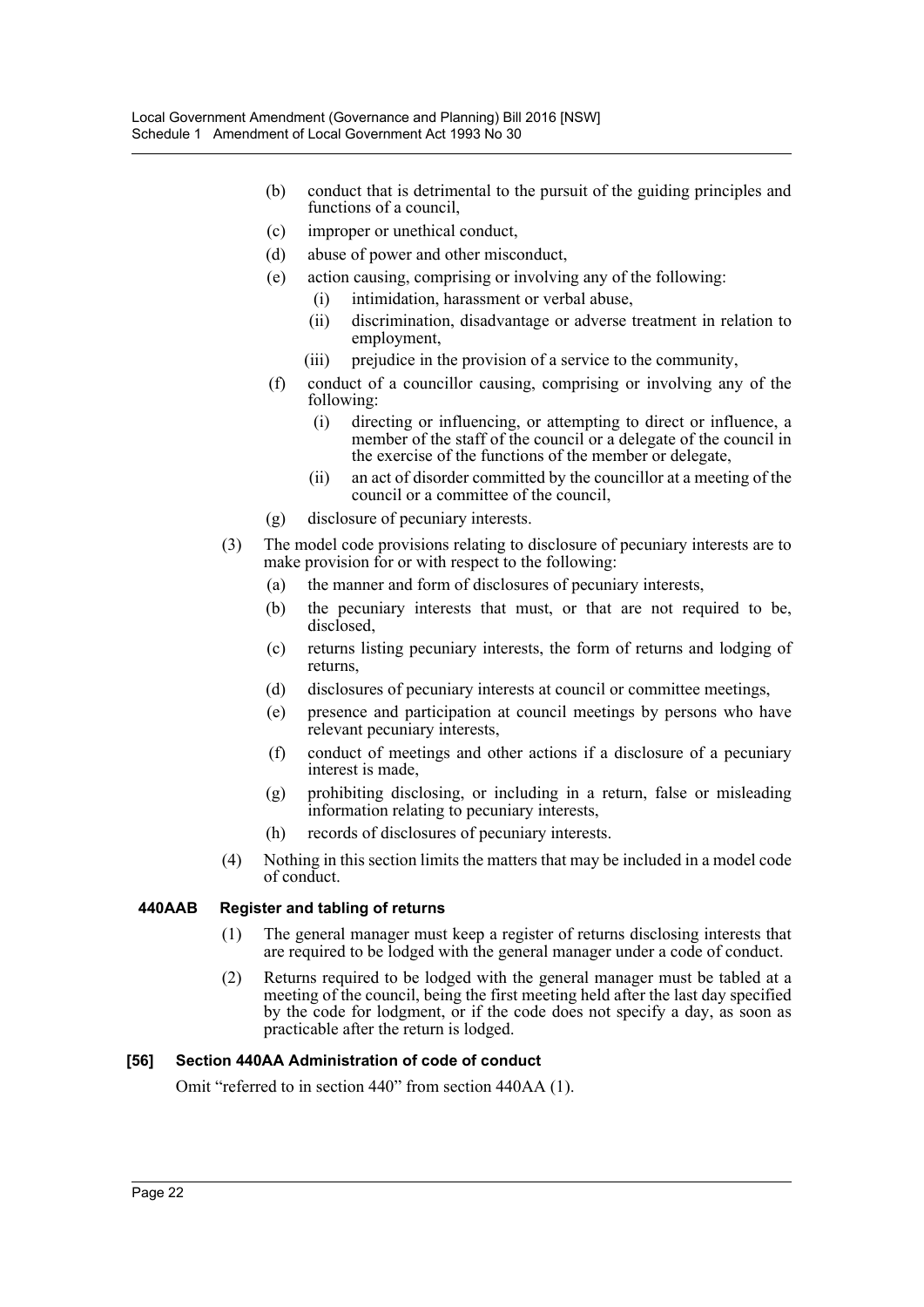- (b) conduct that is detrimental to the pursuit of the guiding principles and functions of a council,
- (c) improper or unethical conduct,
- (d) abuse of power and other misconduct,
- (e) action causing, comprising or involving any of the following:
	- (i) intimidation, harassment or verbal abuse,
	- (ii) discrimination, disadvantage or adverse treatment in relation to employment,
	- (iii) prejudice in the provision of a service to the community,
- (f) conduct of a councillor causing, comprising or involving any of the following:
	- (i) directing or influencing, or attempting to direct or influence, a member of the staff of the council or a delegate of the council in the exercise of the functions of the member or delegate,
	- (ii) an act of disorder committed by the councillor at a meeting of the council or a committee of the council,
- (g) disclosure of pecuniary interests.
- (3) The model code provisions relating to disclosure of pecuniary interests are to make provision for or with respect to the following:
	- (a) the manner and form of disclosures of pecuniary interests,
	- (b) the pecuniary interests that must, or that are not required to be, disclosed,
	- (c) returns listing pecuniary interests, the form of returns and lodging of returns,
	- (d) disclosures of pecuniary interests at council or committee meetings,
	- (e) presence and participation at council meetings by persons who have relevant pecuniary interests,
	- (f) conduct of meetings and other actions if a disclosure of a pecuniary interest is made,
	- (g) prohibiting disclosing, or including in a return, false or misleading information relating to pecuniary interests,
	- (h) records of disclosures of pecuniary interests.
- (4) Nothing in this section limits the matters that may be included in a model code of conduct.

## **440AAB Register and tabling of returns**

- (1) The general manager must keep a register of returns disclosing interests that are required to be lodged with the general manager under a code of conduct.
- (2) Returns required to be lodged with the general manager must be tabled at a meeting of the council, being the first meeting held after the last day specified by the code for lodgment, or if the code does not specify a day, as soon as practicable after the return is lodged.

## **[56] Section 440AA Administration of code of conduct**

Omit "referred to in section 440" from section 440AA (1).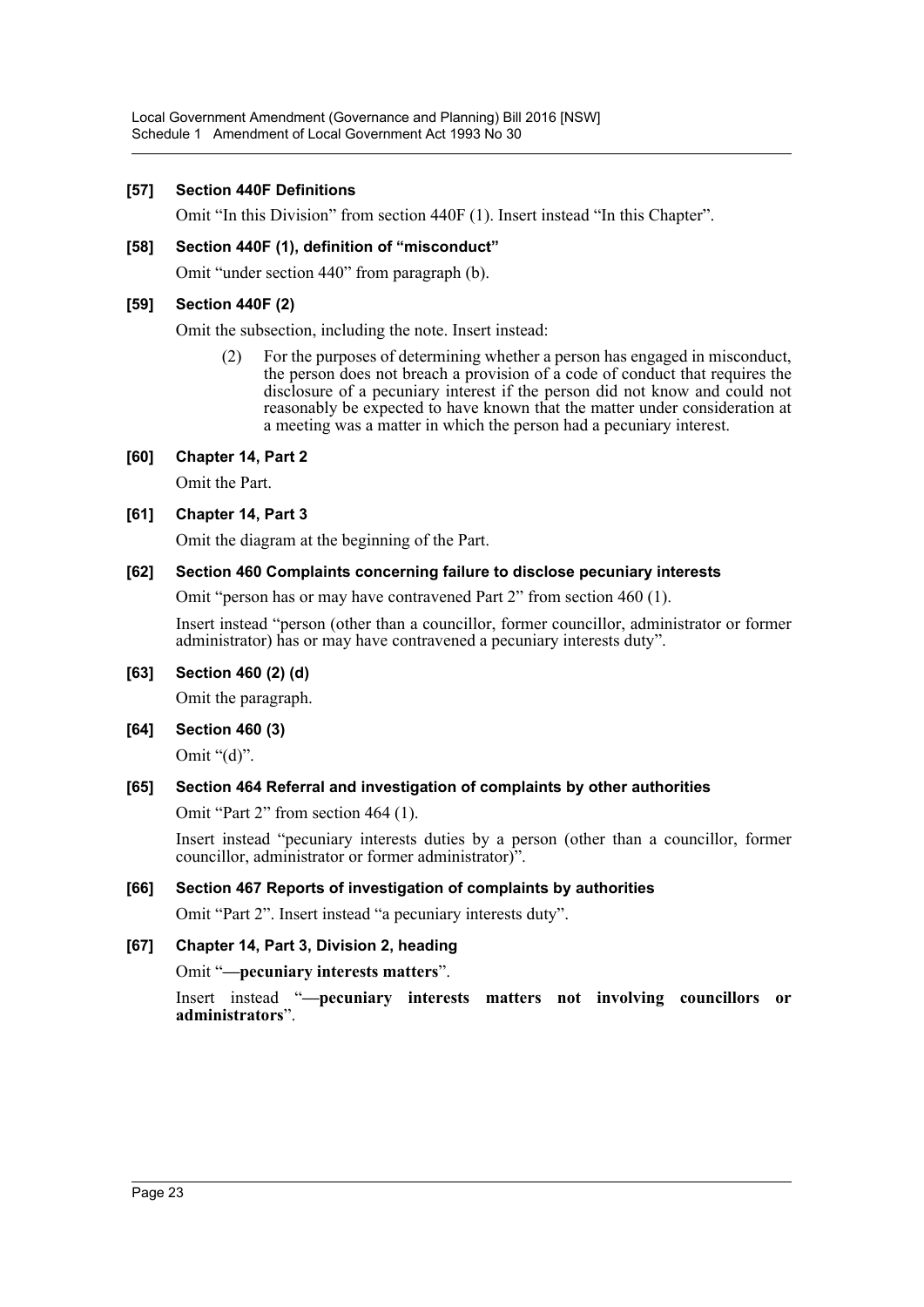## **[57] Section 440F Definitions**

Omit "In this Division" from section 440F (1). Insert instead "In this Chapter".

## **[58] Section 440F (1), definition of "misconduct"**

Omit "under section 440" from paragraph (b).

## **[59] Section 440F (2)**

Omit the subsection, including the note. Insert instead:

(2) For the purposes of determining whether a person has engaged in misconduct, the person does not breach a provision of a code of conduct that requires the disclosure of a pecuniary interest if the person did not know and could not reasonably be expected to have known that the matter under consideration at a meeting was a matter in which the person had a pecuniary interest.

**[60] Chapter 14, Part 2**

Omit the Part.

## **[61] Chapter 14, Part 3**

Omit the diagram at the beginning of the Part.

## **[62] Section 460 Complaints concerning failure to disclose pecuniary interests**

Omit "person has or may have contravened Part 2" from section 460 (1).

Insert instead "person (other than a councillor, former councillor, administrator or former administrator) has or may have contravened a pecuniary interests duty".

## **[63] Section 460 (2) (d)**

Omit the paragraph.

**[64] Section 460 (3)**

Omit " $(d)$ ".

## **[65] Section 464 Referral and investigation of complaints by other authorities**

Omit "Part 2" from section 464 (1).

Insert instead "pecuniary interests duties by a person (other than a councillor, former councillor, administrator or former administrator)".

## **[66] Section 467 Reports of investigation of complaints by authorities**

Omit "Part 2". Insert instead "a pecuniary interests duty".

## **[67] Chapter 14, Part 3, Division 2, heading**

Omit "**—pecuniary interests matters**".

Insert instead "**—pecuniary interests matters not involving councillors or administrators**".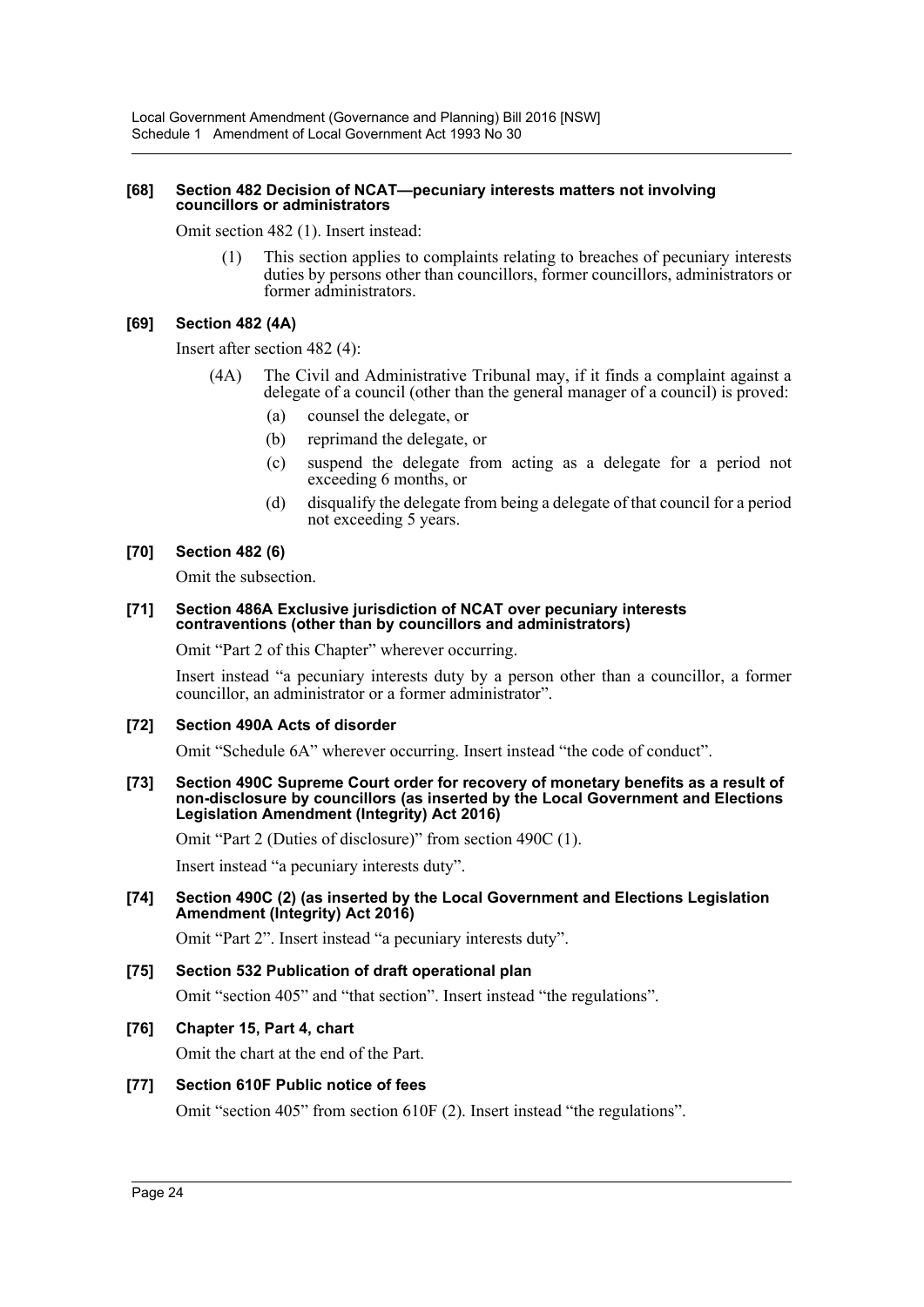#### **[68] Section 482 Decision of NCAT—pecuniary interests matters not involving councillors or administrators**

Omit section 482 (1). Insert instead:

This section applies to complaints relating to breaches of pecuniary interests duties by persons other than councillors, former councillors, administrators or former administrators.

## **[69] Section 482 (4A)**

Insert after section 482 (4):

- (4A) The Civil and Administrative Tribunal may, if it finds a complaint against a delegate of a council (other than the general manager of a council) is proved:
	- (a) counsel the delegate, or
	- (b) reprimand the delegate, or
	- (c) suspend the delegate from acting as a delegate for a period not exceeding 6 months, or
	- (d) disqualify the delegate from being a delegate of that council for a period not exceeding 5 years.

## **[70] Section 482 (6)**

Omit the subsection.

#### **[71] Section 486A Exclusive jurisdiction of NCAT over pecuniary interests contraventions (other than by councillors and administrators)**

Omit "Part 2 of this Chapter" wherever occurring.

Insert instead "a pecuniary interests duty by a person other than a councillor, a former councillor, an administrator or a former administrator".

## **[72] Section 490A Acts of disorder**

Omit "Schedule 6A" wherever occurring. Insert instead "the code of conduct".

**[73] Section 490C Supreme Court order for recovery of monetary benefits as a result of non-disclosure by councillors (as inserted by the Local Government and Elections Legislation Amendment (Integrity) Act 2016)**

Omit "Part 2 (Duties of disclosure)" from section 490C (1).

Insert instead "a pecuniary interests duty".

#### **[74] Section 490C (2) (as inserted by the Local Government and Elections Legislation Amendment (Integrity) Act 2016)**

Omit "Part 2". Insert instead "a pecuniary interests duty".

## **[75] Section 532 Publication of draft operational plan**

Omit "section 405" and "that section". Insert instead "the regulations".

## **[76] Chapter 15, Part 4, chart**

Omit the chart at the end of the Part.

## **[77] Section 610F Public notice of fees**

Omit "section 405" from section 610F (2). Insert instead "the regulations".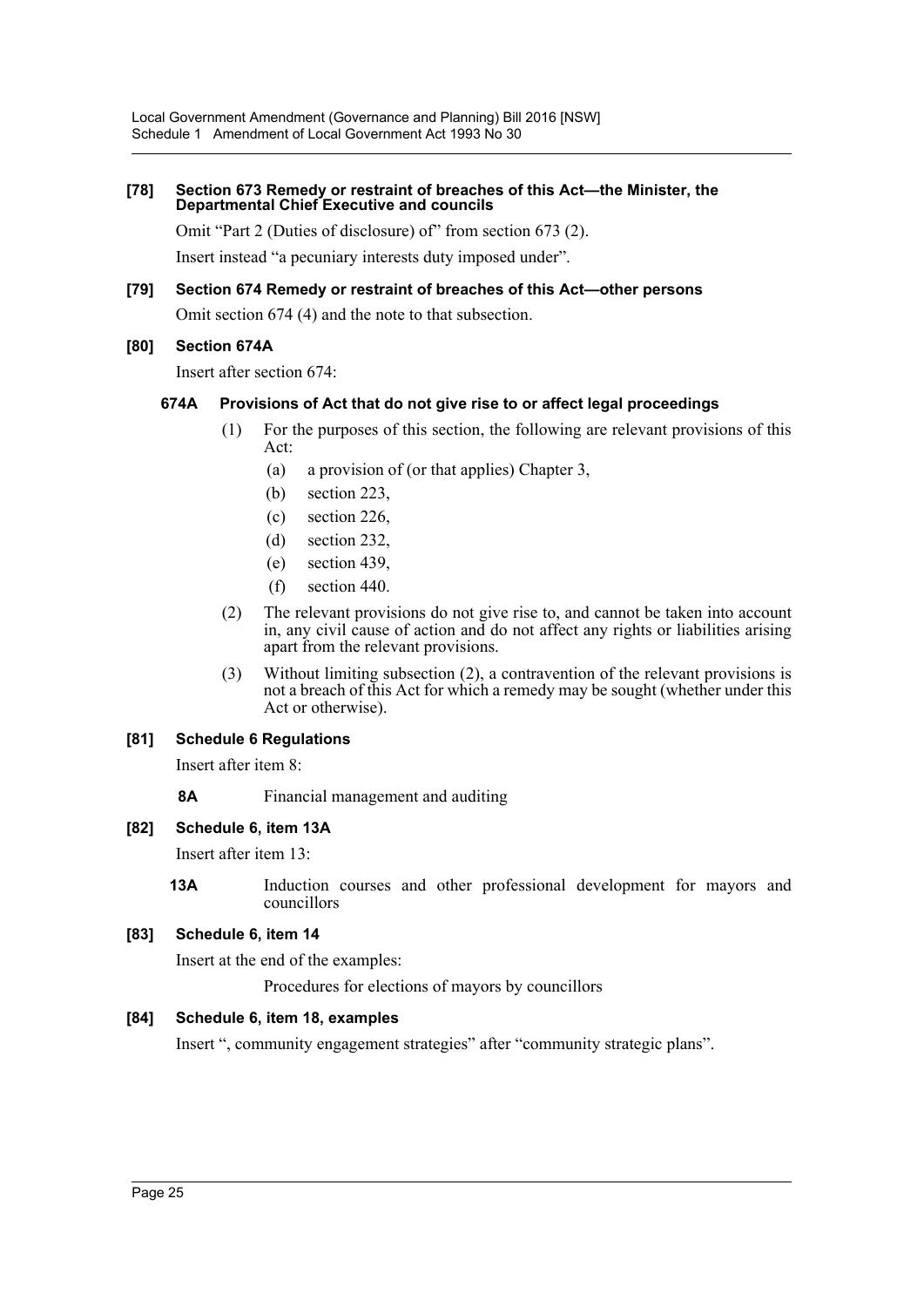## **[78] Section 673 Remedy or restraint of breaches of this Act—the Minister, the Departmental Chief Executive and councils**

Omit "Part 2 (Duties of disclosure) of" from section 673 (2).

Insert instead "a pecuniary interests duty imposed under".

## **[79] Section 674 Remedy or restraint of breaches of this Act—other persons** Omit section 674 (4) and the note to that subsection.

## **[80] Section 674A**

Insert after section 674:

## **674A Provisions of Act that do not give rise to or affect legal proceedings**

- (1) For the purposes of this section, the following are relevant provisions of this Act:
	- (a) a provision of (or that applies) Chapter 3,
	- (b) section 223,
	- (c) section 226,
	- (d) section 232,
	- (e) section 439,
	- (f) section 440.
- (2) The relevant provisions do not give rise to, and cannot be taken into account in, any civil cause of action and do not affect any rights or liabilities arising apart from the relevant provisions.
- (3) Without limiting subsection (2), a contravention of the relevant provisions is not a breach of this Act for which a remedy may be sought (whether under this Act or otherwise).

## **[81] Schedule 6 Regulations**

Insert after item 8:

**8A** Financial management and auditing

## **[82] Schedule 6, item 13A**

Insert after item 13:

**13A** Induction courses and other professional development for mayors and councillors

## **[83] Schedule 6, item 14**

Insert at the end of the examples:

Procedures for elections of mayors by councillors

## **[84] Schedule 6, item 18, examples**

Insert ", community engagement strategies" after "community strategic plans".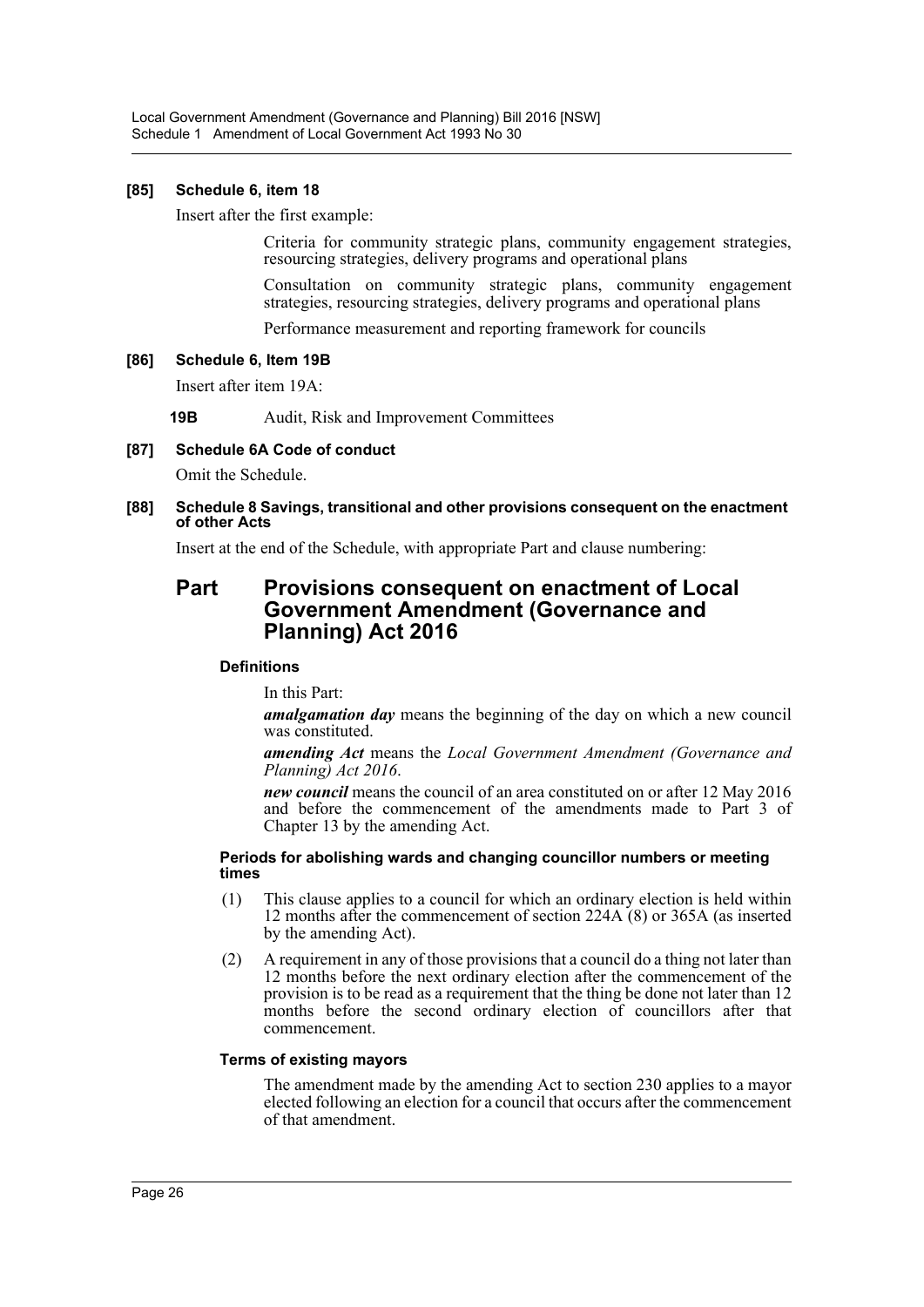Local Government Amendment (Governance and Planning) Bill 2016 [NSW] Schedule 1 Amendment of Local Government Act 1993 No 30

#### **[85] Schedule 6, item 18**

Insert after the first example:

Criteria for community strategic plans, community engagement strategies, resourcing strategies, delivery programs and operational plans

Consultation on community strategic plans, community engagement strategies, resourcing strategies, delivery programs and operational plans

Performance measurement and reporting framework for councils

#### **[86] Schedule 6, Item 19B**

Insert after item 19A:

**19B** Audit, Risk and Improvement Committees

## **[87] Schedule 6A Code of conduct**

Omit the Schedule.

#### **[88] Schedule 8 Savings, transitional and other provisions consequent on the enactment of other Acts**

Insert at the end of the Schedule, with appropriate Part and clause numbering:

## **Part Provisions consequent on enactment of Local Government Amendment (Governance and Planning) Act 2016**

#### **Definitions**

In this Part:

*amalgamation day* means the beginning of the day on which a new council was constituted.

*amending Act* means the *Local Government Amendment (Governance and Planning) Act 2016*.

*new council* means the council of an area constituted on or after 12 May 2016 and before the commencement of the amendments made to Part 3 of Chapter 13 by the amending Act.

#### **Periods for abolishing wards and changing councillor numbers or meeting times**

- (1) This clause applies to a council for which an ordinary election is held within 12 months after the commencement of section 224A (8) or 365A (as inserted by the amending Act).
- (2) A requirement in any of those provisions that a council do a thing not later than 12 months before the next ordinary election after the commencement of the provision is to be read as a requirement that the thing be done not later than 12 months before the second ordinary election of councillors after that commencement.

#### **Terms of existing mayors**

The amendment made by the amending Act to section 230 applies to a mayor elected following an election for a council that occurs after the commencement of that amendment.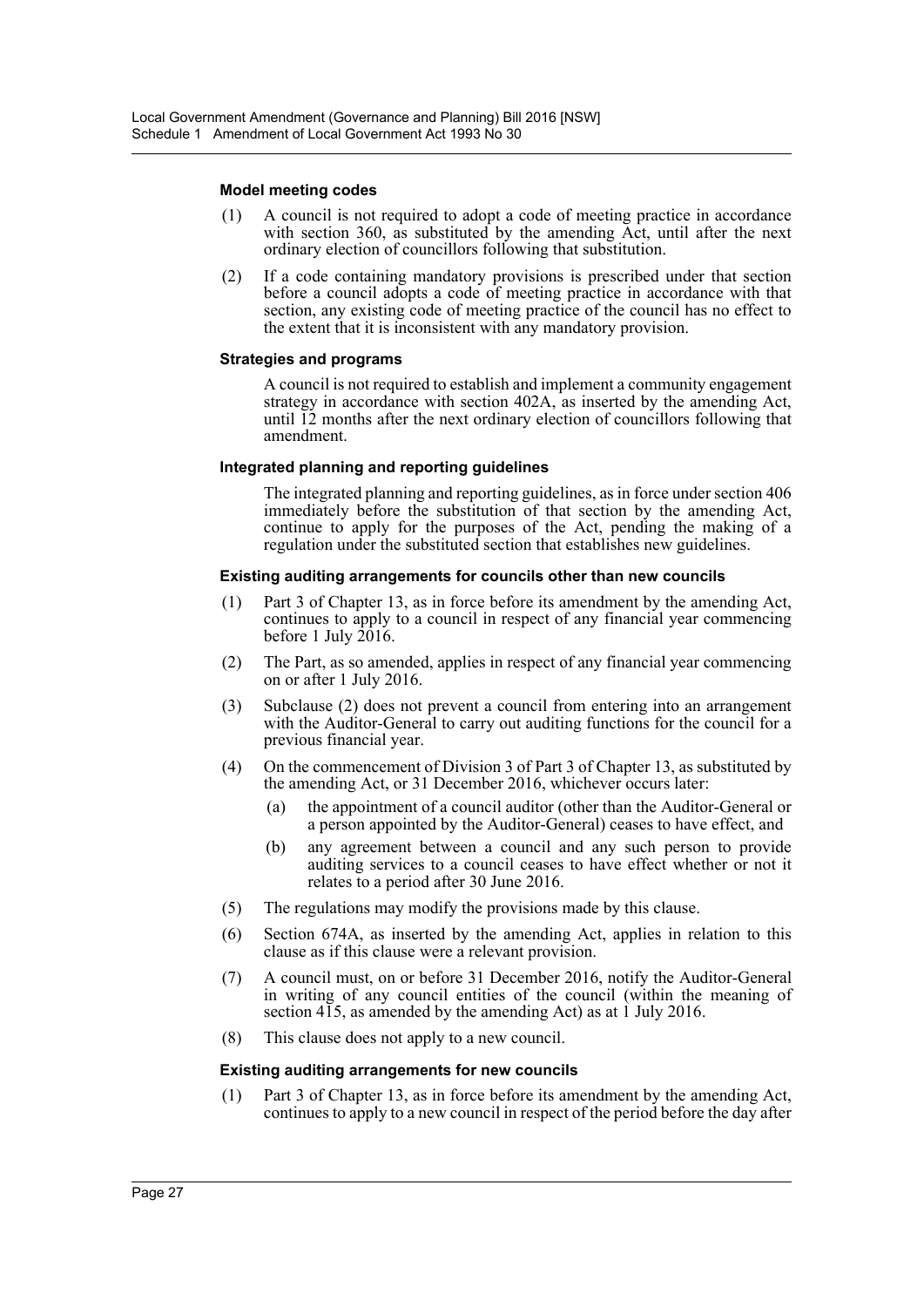#### **Model meeting codes**

- (1) A council is not required to adopt a code of meeting practice in accordance with section 360, as substituted by the amending  $\overrightarrow{Act}$ , until after the next ordinary election of councillors following that substitution.
- (2) If a code containing mandatory provisions is prescribed under that section before a council adopts a code of meeting practice in accordance with that section, any existing code of meeting practice of the council has no effect to the extent that it is inconsistent with any mandatory provision.

#### **Strategies and programs**

A council is not required to establish and implement a community engagement strategy in accordance with section 402A, as inserted by the amending Act, until 12 months after the next ordinary election of councillors following that amendment.

#### **Integrated planning and reporting guidelines**

The integrated planning and reporting guidelines, as in force under section 406 immediately before the substitution of that section by the amending Act, continue to apply for the purposes of the Act, pending the making of a regulation under the substituted section that establishes new guidelines.

#### **Existing auditing arrangements for councils other than new councils**

- (1) Part 3 of Chapter 13, as in force before its amendment by the amending Act, continues to apply to a council in respect of any financial year commencing before 1 July  $2016$ .
- (2) The Part, as so amended, applies in respect of any financial year commencing on or after 1 July 2016.
- (3) Subclause (2) does not prevent a council from entering into an arrangement with the Auditor-General to carry out auditing functions for the council for a previous financial year.
- (4) On the commencement of Division 3 of Part 3 of Chapter 13, as substituted by the amending Act, or 31 December 2016, whichever occurs later:
	- (a) the appointment of a council auditor (other than the Auditor-General or a person appointed by the Auditor-General) ceases to have effect, and
	- (b) any agreement between a council and any such person to provide auditing services to a council ceases to have effect whether or not it relates to a period after 30 June 2016.
- (5) The regulations may modify the provisions made by this clause.
- (6) Section 674A, as inserted by the amending Act, applies in relation to this clause as if this clause were a relevant provision.
- (7) A council must, on or before 31 December 2016, notify the Auditor-General in writing of any council entities of the council (within the meaning of section  $415$ , as amended by the amending Act) as at 1 July 2016.
- (8) This clause does not apply to a new council.

#### **Existing auditing arrangements for new councils**

(1) Part 3 of Chapter 13, as in force before its amendment by the amending Act, continues to apply to a new council in respect of the period before the day after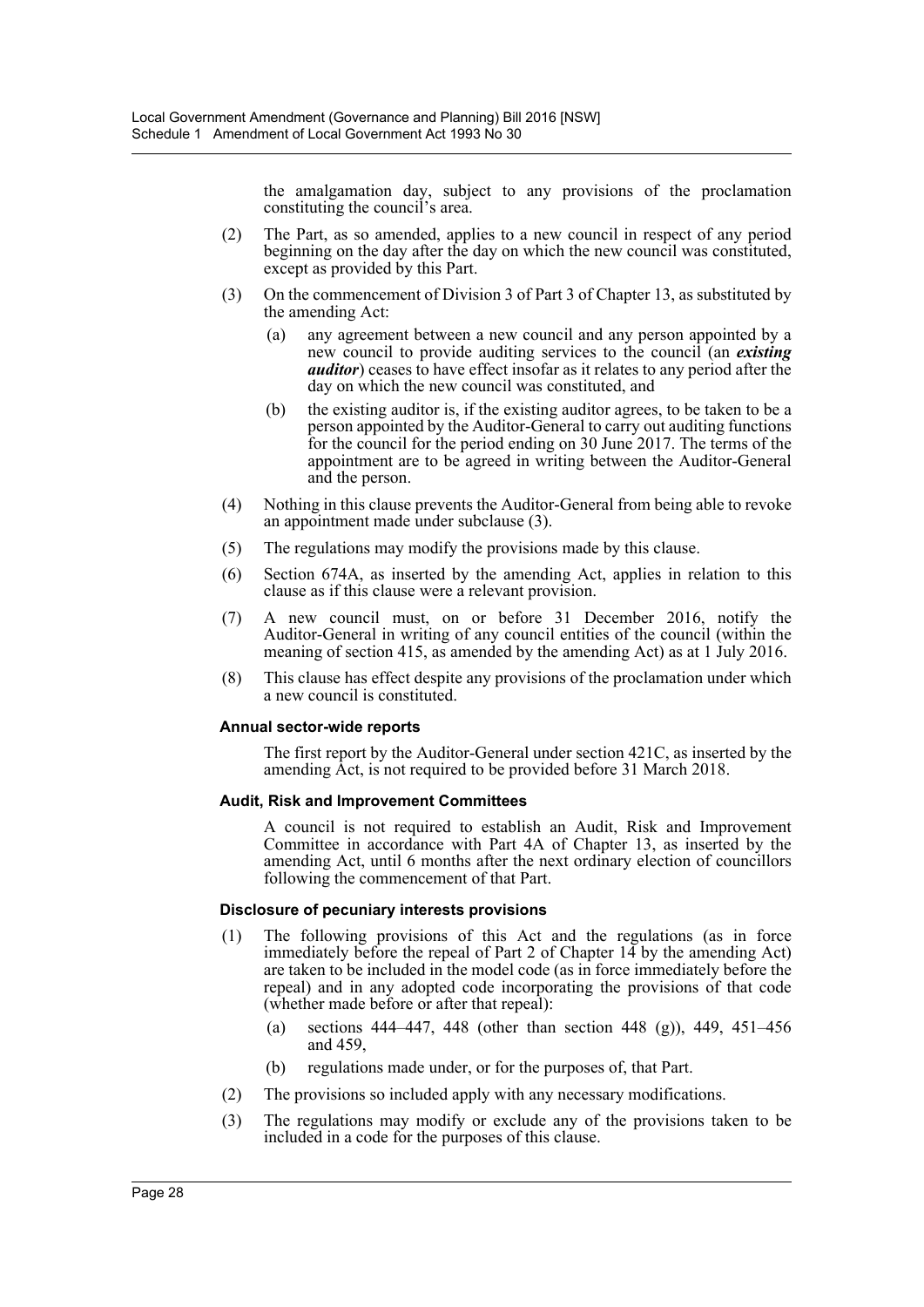the amalgamation day, subject to any provisions of the proclamation constituting the council's area.

- (2) The Part, as so amended, applies to a new council in respect of any period beginning on the day after the day on which the new council was constituted, except as provided by this Part.
- (3) On the commencement of Division 3 of Part 3 of Chapter 13, as substituted by the amending Act:
	- (a) any agreement between a new council and any person appointed by a new council to provide auditing services to the council (an *existing auditor*) ceases to have effect insofar as it relates to any period after the day on which the new council was constituted, and
	- (b) the existing auditor is, if the existing auditor agrees, to be taken to be a person appointed by the Auditor-General to carry out auditing functions for the council for the period ending on 30 June 2017. The terms of the appointment are to be agreed in writing between the Auditor-General and the person.
- (4) Nothing in this clause prevents the Auditor-General from being able to revoke an appointment made under subclause (3).
- (5) The regulations may modify the provisions made by this clause.
- (6) Section 674A, as inserted by the amending Act, applies in relation to this clause as if this clause were a relevant provision.
- (7) A new council must, on or before 31 December 2016, notify the Auditor-General in writing of any council entities of the council (within the meaning of section 415, as amended by the amending Act) as at 1 July 2016.
- (8) This clause has effect despite any provisions of the proclamation under which a new council is constituted.

## **Annual sector-wide reports**

The first report by the Auditor-General under section 421C, as inserted by the amending Act, is not required to be provided before 31 March 2018.

## **Audit, Risk and Improvement Committees**

A council is not required to establish an Audit, Risk and Improvement Committee in accordance with Part 4A of Chapter 13, as inserted by the amending Act, until 6 months after the next ordinary election of councillors following the commencement of that Part.

## **Disclosure of pecuniary interests provisions**

- (1) The following provisions of this Act and the regulations (as in force immediately before the repeal of Part 2 of Chapter 14 by the amending Act) are taken to be included in the model code (as in force immediately before the repeal) and in any adopted code incorporating the provisions of that code (whether made before or after that repeal):
	- (a) sections  $444-447$ ,  $448$  (other than section  $448$  (g)),  $449$ ,  $451-456$ and 459,
	- (b) regulations made under, or for the purposes of, that Part.
- (2) The provisions so included apply with any necessary modifications.
- (3) The regulations may modify or exclude any of the provisions taken to be included in a code for the purposes of this clause.